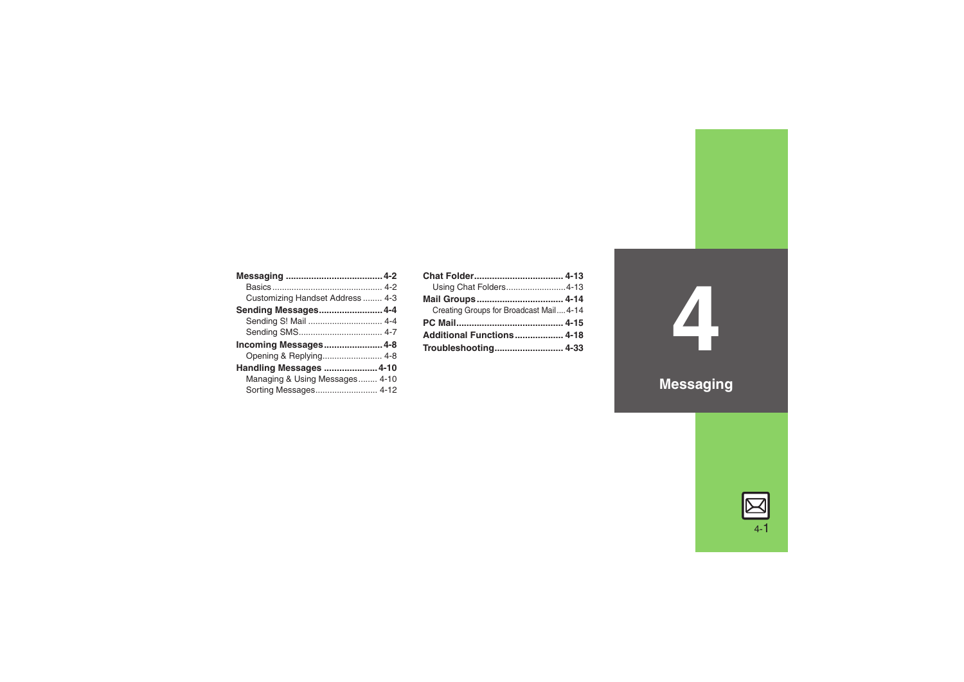| Customizing Handset Address  4-3 |  |
|----------------------------------|--|
| Sending Messages 4-4             |  |
| Sending S! Mail  4-4             |  |
|                                  |  |
| Incoming Messages 4-8            |  |
| Opening & Replying 4-8           |  |
| Handling Messages  4-10          |  |
| Managing & Using Messages 4-10   |  |
| Sorting Messages 4-12            |  |

| Using Chat Folders4-13                 |  |
|----------------------------------------|--|
| Mail Groups 4-14                       |  |
| Creating Groups for Broadcast Mail4-14 |  |
|                                        |  |
| Additional Functions 4-18              |  |
| Troubleshooting 4-33                   |  |

**4 Messaging**

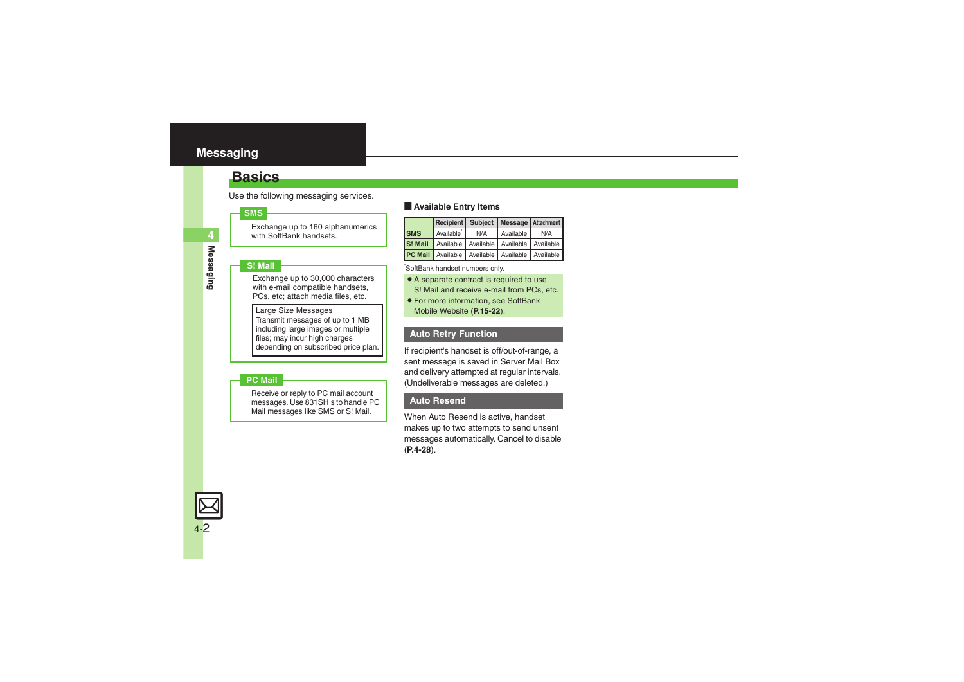### <span id="page-1-1"></span><span id="page-1-0"></span>**Basics**

Use the following messaging services.

#### **SMS**

Exchange up to 160 alphanumerics with SoftBank handsets.

#### **S! Mail**

Exchange up to 30,000 characters with e-mail compatible handsets. PCs, etc; attach media files, etc.

Large Size Messages Transmit messages of up to 1 MB including large images or multiple files; may incur high charges depending on subscribed price plan.

#### **PC Mail**

Receive or reply to PC mail account messages. Use 831SH s to handle PC Mail messages like SMS or S! Mail.

#### **Example Entry Items**

|            | Recipient Subject Message Attachment                   |     |           |     |
|------------|--------------------------------------------------------|-----|-----------|-----|
| <b>SMS</b> | Available'                                             | N/A | Available | N/A |
| S! Mail    | Available Available Available Available                |     |           |     |
|            | <b>PC Mail</b> Available Available Available Available |     |           |     |

\*SoftBank handset numbers only.

- A separate contract is required to use S! Mail and receive e-mail from PCs, etc.
- . For more information, see SoftBank Mobile Website (**P.15-22**).

#### **Auto Retry Function**

If recipient's handset is off/out-of-range, a sent message is saved in Server Mail Box and delivery attempted at regular intervals. (Undeliverable messages are deleted.)

#### **Auto Resend**

When Auto Resend is active, handset makes up to two attempts to send unsent messages automatically. Cancel to disable (**[P.4-28](#page-27-0)**).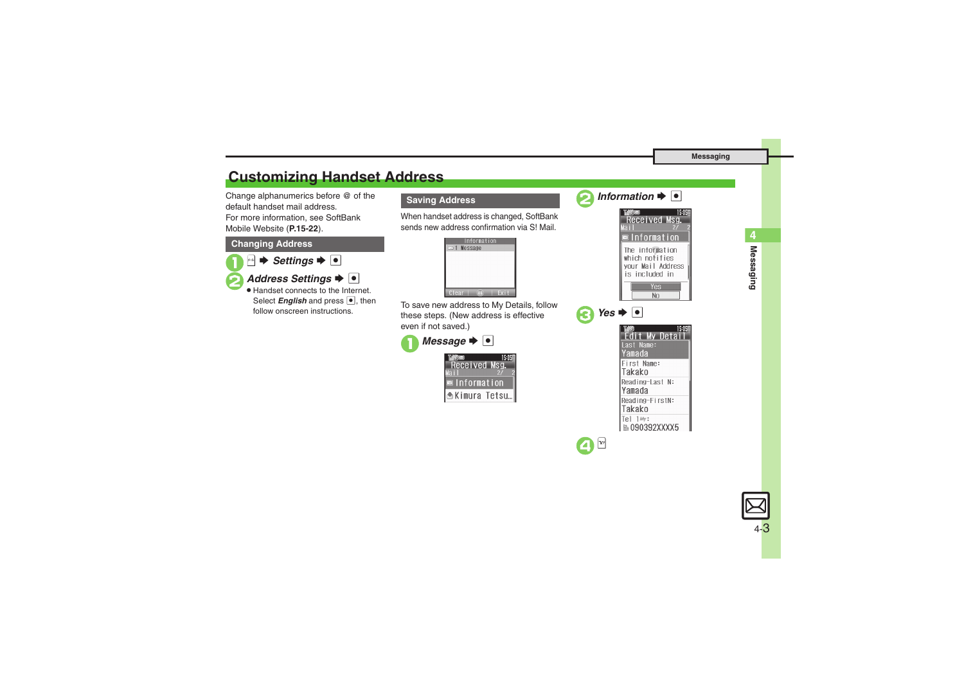# <span id="page-2-0"></span>**Customizing Handset Address**

Change alphanumerics before @ of the default handset mail address.For more information, see SoftBank Mobile Website (**P.15-22**).

#### **Changing Address**



**2** Address Settings  $\rightarrow$  <sup>0</sup> . Handset connects to the Internet. Select *English* and press  $\bullet$ , then follow onscreen instructions.

### **Saving Address**

When handset address is changed, SoftBank sends new address confirmation via S! Mail.



To save new address to My Details, follow these steps. (New address is effective even if not saved.)

▲Kimura Tetsu...







| શ્ર | $Yes \rightarrow \bullet$        |
|-----|----------------------------------|
|     | 15 OS<br>Detai                   |
|     | Last Name:<br>Yamada             |
|     | First Name:<br>Takako            |
|     | Reading-Last N:<br>Yamada        |
|     | Reading-FirstN:<br>Takako        |
|     | Tel 1My:<br><b>■ 090392XXXX5</b> |



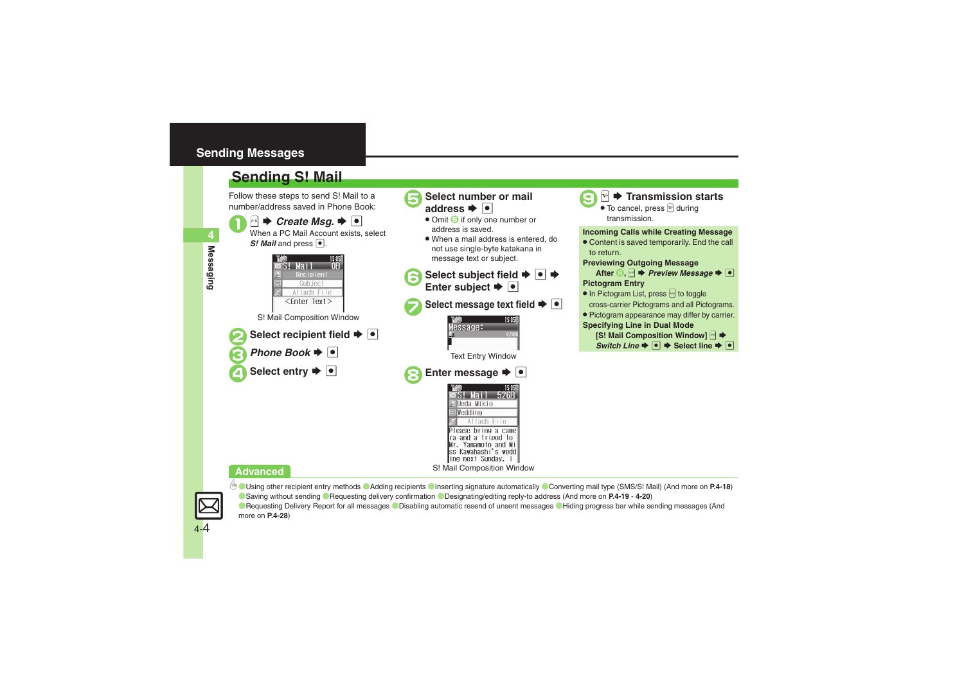### <span id="page-3-0"></span>**Sending Messages**

## <span id="page-3-1"></span>**Sending S! Mail**

*S! Mail* and press  $\bullet$ .

Follow these steps to send S! Mail to a number/address saved in Phone Book:

> Mail Recipient Sub.ject Attach File

**1B Create Msg. Solution Create Msg. 3** 

15:05



### **Select number or mail** address  $\blacktriangleright$   $\blacktriangleright$

- Omit **5** if only one number or address is saved.
- . When a mail address is entered, do not use single-byte katakana in message text or subject.

Select subject field  $\rightarrow$  **۞**  $\rightarrow$ <br>Enter subject  $\rightarrow$  **⊙** 

**Select message text field**  $\rightarrow \bullet$ 



9<sup>A</sup> <sup>S</sup> **Transmission starts** .

 $\bullet$  To cancel, press  $\mathbb{F}$  during transmission.

### **Incoming Calls while Creating Message**

. Content is saved temporarily. End the call to return.

#### **Previewing Outgoing Message**



- In Pictogram List, press is to toggle cross-carrier Pictograms and all Pictograms.
- . Pictogram appearance may differ by carrier. **Specifying Line in Dual Mode**
- **[S! Mail Composition Window]**  $\rightarrow$ *Switch Line*  $\rightarrow$  <sup>●</sup> → Select line  $\rightarrow$  ●
- <Enter Text> S! Mail Composition Window
	- **Select recipient field**  $\blacktriangleright$  $\lceil \bullet \rceil$ *Phone Book*  $\rightarrow$   $\bullet$

**Select entry**  $\rightarrow \infty$ 



### **Advanced**



4-4

0([Using other recipient entry methods](#page-17-1) ([Adding recipients](#page-17-2) ([Inserting signature automatically](#page-17-3) ([Converting mail type \(SMS/S!](#page-17-4) Mail) (And more on **[P.4-18](#page-17-1)**) ([Saving without sending](#page-18-0) ([Requesting delivery confirmation](#page-18-1) ([Designating/editing reply-to address](#page-19-0) (And more on **[P.4-19](#page-18-0)** - **[4-20](#page-19-0)**) **C** [Requesting Delivery Report for all messages](#page-27-1) C [Disabling automatic resend of unsent messages](#page-27-0) C [Hiding progress bar while sending messages](#page-27-2) (And more on **[P.4-28](#page-27-1)**)

**4**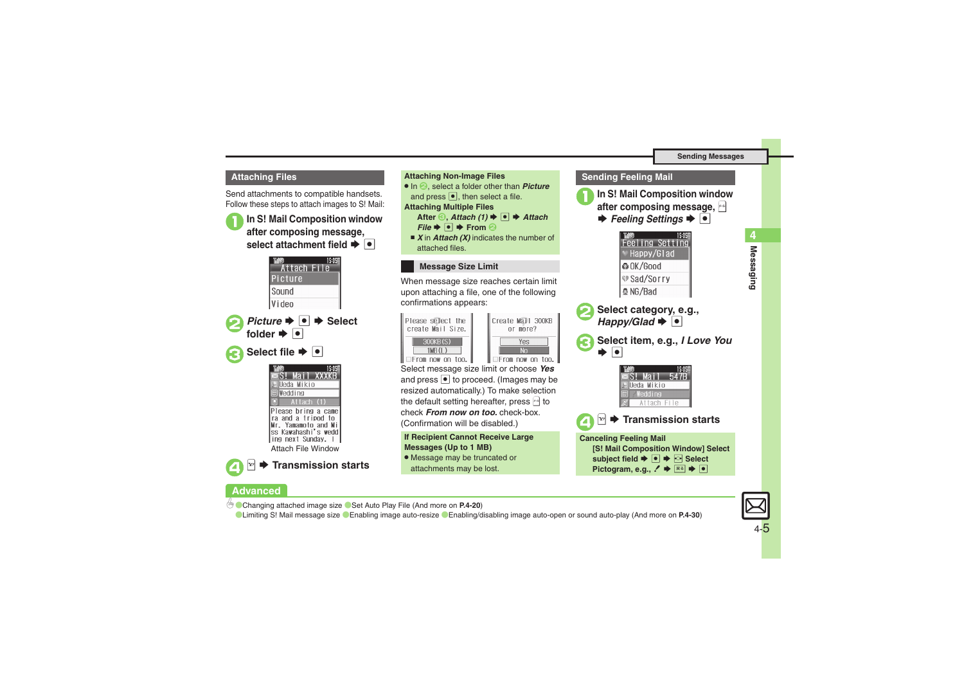Send attachments to compatible handsets. Follow these steps to attach images to S! Mail:

<sup>1</sup>**In S! Mail Composition window after composing message, select attachment field**  $\blacktriangleright$  $\lceil \bullet \rceil$ 





4

**Advanced**

# S **Transmission starts**

**Attaching Files Attaching Non-Image Files** . In 2, select a folder other than *Picture* and press  $\lceil \bullet \rceil$ , then select a file. **Attaching Multiple Files After** *S*, *Attach (1)*  $\blacktriangleright$  <sup>*●*</sup> → *Attach*  $File \rightarrow \lceil \bullet \rceil$  **From 2** ■ *X* in *Attach (X)* indicates the number of attached files.

### **Message Size Limit**

When message size reaches certain limit upon attaching a file, one of the following confirmations appears:



| Create Mail 300KB<br>or more? |
|-------------------------------|
|                               |
|                               |
|                               |

Select message size limit or choose *Yes* and press  $\bullet$  to proceed. (Images may be resized automatically.) To make selection the default setting hereafter, press  $\boxdot$  to check *From now on too.* check-box. (Confirmation will be disabled.)

**If Recipient Cannot Receive Large Messages (Up to 1 MB)**

. Message may be truncated or attachments may be lost.





**Messaging 4**

Messaging

4

**[Changing attached image size](#page-19-1) [Set Auto Play File](#page-19-2) (And more on [P.4-20](#page-19-3))** 

**CLimiting S! [Mail message size](#page-29-0) C[Enabling image auto-resize](#page-29-1) C[Enabling/disabling image auto-open or sound auto-play](#page-29-2) (And more on [P.4-30](#page-29-1))**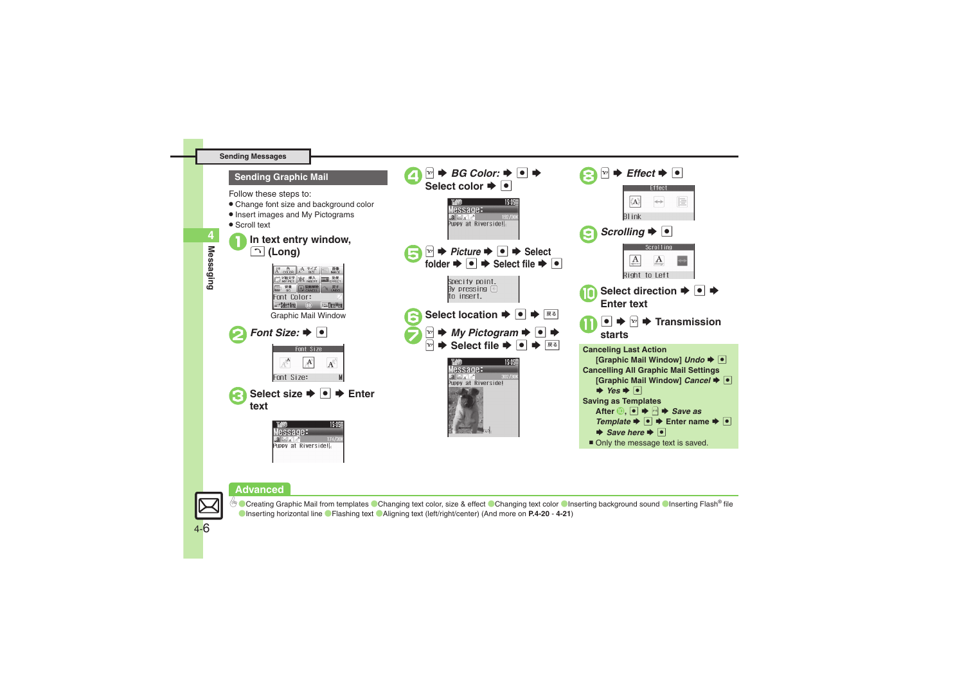

#### **Advanced**



<sup>5</sup>® [Creating Graphic Mail from templates](#page-19-4) [Changing text color, size & effect](#page-19-5) ©[Changing text color](#page-19-6) ©[Inserting background sound](#page-19-7) ©[Inserting Flash](#page-20-0)® file ([Inserting horizontal line](#page-20-1) ([Flashing text](#page-20-2) ([Aligning text \(left/right/center\)](#page-20-3) (And more on **[P.4-20](#page-19-4)** - **[4-21](#page-20-3)**)

Messaging **Messaging**

**4**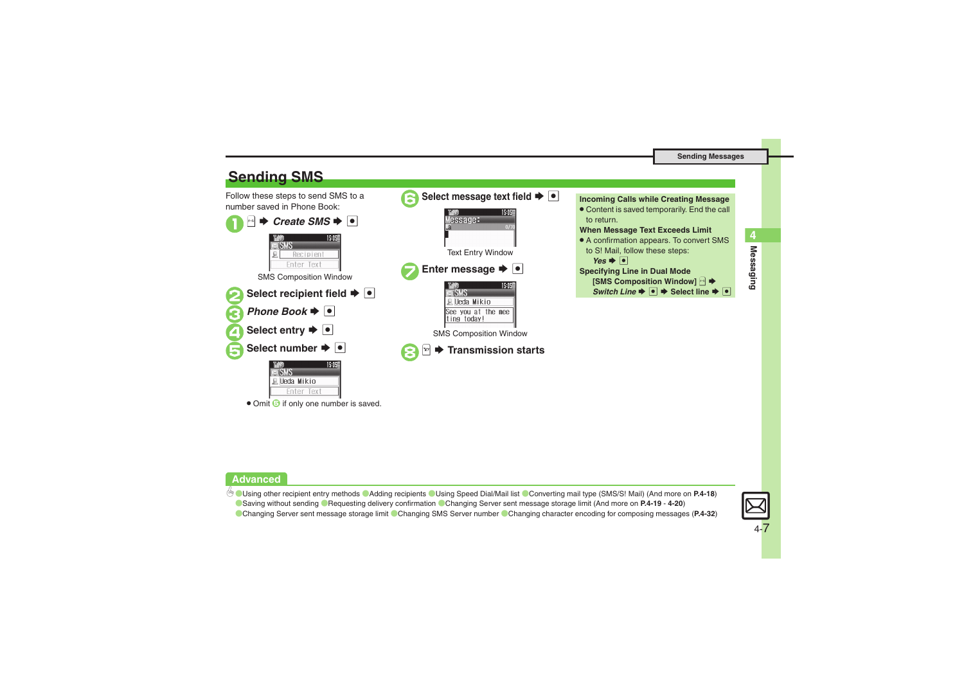<span id="page-6-0"></span>

#### **Advanced**

4 [Using other recipient entry methods](#page-17-1) C[Adding recipients](#page-17-2) C[Using Speed Dial/Mail list](#page-17-5) [Converting mail type \(SMS/S!](#page-17-4) Mail) (And more on [P.4-18](#page-17-1)) **C** [Saving without sending](#page-18-0) C[Requesting delivery confirmation](#page-18-1) C[Changing Server sent message storage limit](#page-19-8) (And more on [P.4-19](#page-18-0) - [4-20](#page-19-8))



**Messaging 4**

Messaging

4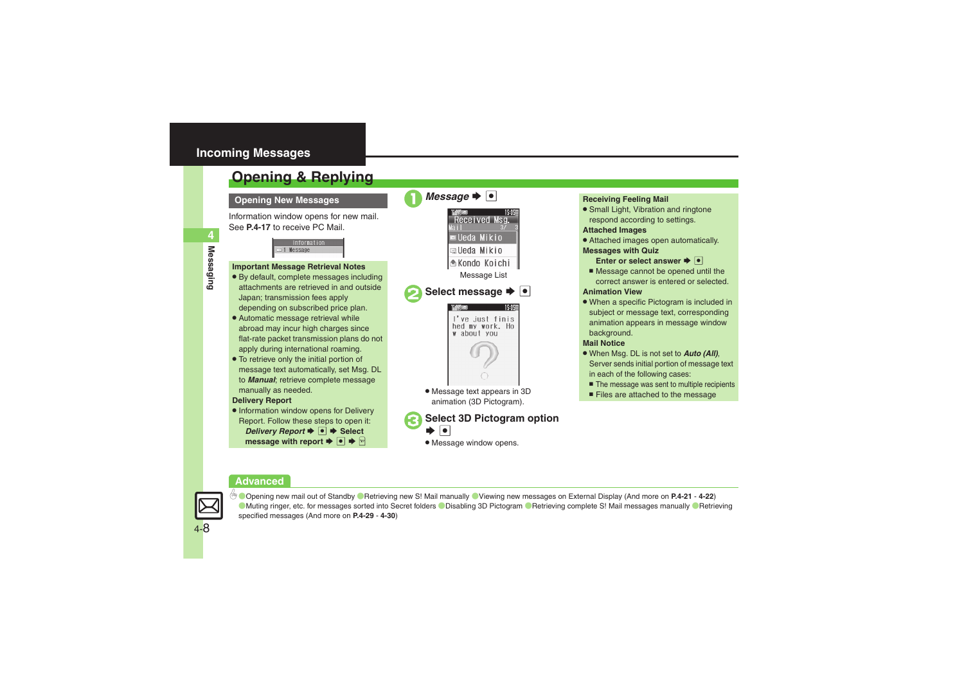### <span id="page-7-0"></span>**Incoming Messages**

# <span id="page-7-1"></span>**Opening & Replying**

**Opening New Messages**

Information window opens for new mail. See **[P.4-17](#page-16-0)** to receive PC Mail.

> **Information** 1 Message

#### **Important Message Retrieval Notes**

- . By default, complete messages including attachments are retrieved in and outside Japan; transmission fees apply depending on subscribed price plan.
- . Automatic message retrieval while abroad may incur high charges since flat-rate packet transmission plans do not apply during international roaming.
- . To retrieve only the initial portion of message text automatically, set Msg. DL to *Manual*; retrieve complete message manually as needed.

#### **Delivery Report**

. Information window opens for Delivery Report. Follow these steps to open it: *Delivery Report*  $\rightarrow$  <sup>●</sup> Select **message with report**  $\blacktriangleright \blacksquare \blacktriangleright \blacksquare$ 

*Message*  $\rightarrow$   $\boxed{\bullet}$ Received Msg. **■Ueda Mikio alleda Mikio** Kondo Koichi Message List **Select message**  $\rightarrow \cdot$ I've just finis hed my work. Ho w about you . Message text appears in 3D animation (3D Pictogram).

### **Select 3D Pictogram option**  $\bullet$

. Message window opens.

### **Receiving Feeling Mail**

**• Small Light, Vibration and ringtone** respond according to settings.

#### **Attached Images**

- . Attached images open automatically. **Messages with Quiz**
	- **Enter or select answer**  $\blacktriangleright$  $\blacksquare$
	- Message cannot be opened until the correct answer is entered or selected.

#### **Animation View**

• When a specific Pictogram is included in subject or message text, corresponding animation appears in message window background.

#### **Mail Notice**

- . When Msg. DL is not set to *Auto (All)*, Server sends initial portion of message text in each of the following cases:
	- The message was sent to multiple recipients
- Files are attached to the message

#### **Advanced**



0([Opening new mail out of Standby](#page-20-4) ([Retrieving new S!](#page-20-5) Mail manually ([Viewing new messages on External Display](#page-21-0) (And more on **[P.4-21](#page-20-4)** - **[4-22](#page-21-0)**) **[Muting ringer, etc. for messages sorted into Secret folders](#page-28-0) C[Disabling 3D Pictogram](#page-28-1) CRetrieving complete S! [Mail messages manually](#page-29-3) CRetrieving** [specified messages](#page-29-4) (And more on **[P.4-29](#page-28-0)** - **[4-30](#page-29-4)**)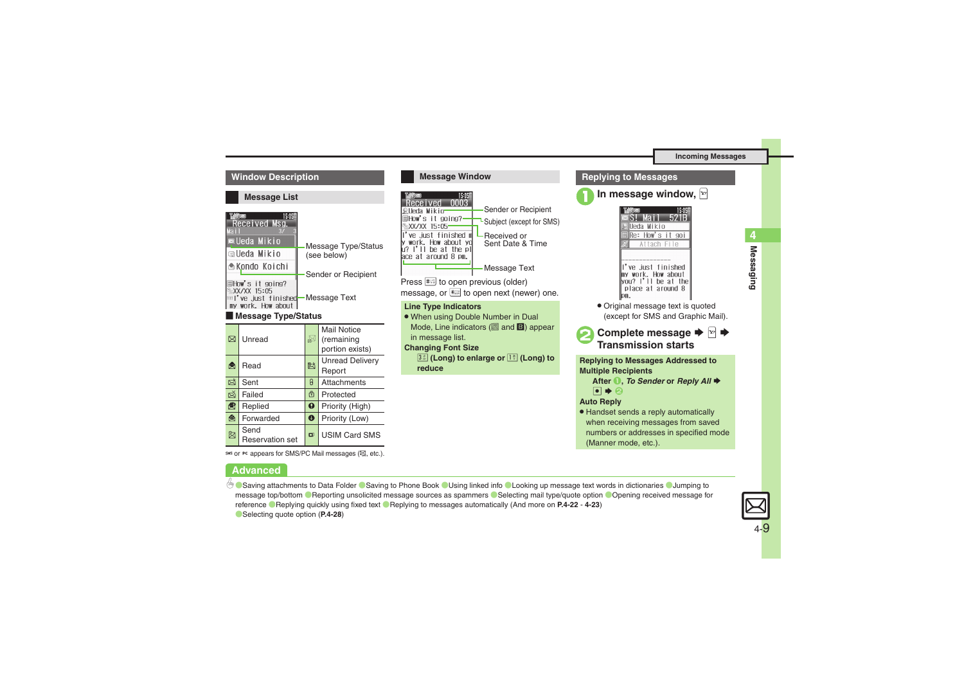#### **Window Description**

#### **Message List**

| Received Msg.<br>Мат                                                                        |                                      |
|---------------------------------------------------------------------------------------------|--------------------------------------|
| $\blacksquare$ Ueda Mikio                                                                   | <b>Message Type/Status</b>           |
| ⊠Ueda Mikio                                                                                 | (see below)                          |
| La Kondo Koichi                                                                             |                                      |
| ■How's it going?<br><b>XX/XX 15:05</b><br><b>IMI've just finished</b><br>my work. How about | Sender or Recipient<br>-Message Text |
|                                                                                             |                                      |

#### [ **Message Type/Status**

| ⊠ | Unread                         | ₩                     | <b>Mail Notice</b><br>(remaining<br>portion exists) |
|---|--------------------------------|-----------------------|-----------------------------------------------------|
| å | Read                           | 屗                     | <b>Unread Delivery</b><br>Report                    |
| 凶 | Sent                           | 0                     | Attachments                                         |
| Ř | Failed                         | ⊕                     | Protected                                           |
| 虔 | Replied                        | $\boldsymbol{\Omega}$ | Priority (High)                                     |
| ⊜ | Forwarded                      | $\bf{O}$              | Priority (Low)                                      |
| H | Send<br><b>Reservation set</b> | $\mathbf{u}$          | <b>USIM Card SMS</b>                                |

sws or Pc appears for SMS/PC Mail messages ( $\mathbb{Q}$ , etc.).

#### **Advanced**



(Manner mode, etc.).

Co [Saving attachments to Data Folder](#page-21-1) Co [Saving to Phone Book](#page-21-2) C [Using linked info](#page-22-0) C [Looking up message text words in dictionaries](#page-22-1) C Jumping to [message top/bottom](#page-22-2) **Reporting unsolicited message sources as spammers** [Selecting mail type/quote option](#page-22-4) Opening received message for [reference](#page-22-5) ([Replying quickly using fixed text](#page-22-6) ([Replying to messages automatically](#page-22-7) (And more on **[P.4-22](#page-21-1)** - **[4-23](#page-22-7)**) ([Selecting quote option](#page-27-3) (**[P.4-28](#page-27-3)**)



**Messaging**

Messaging

**4**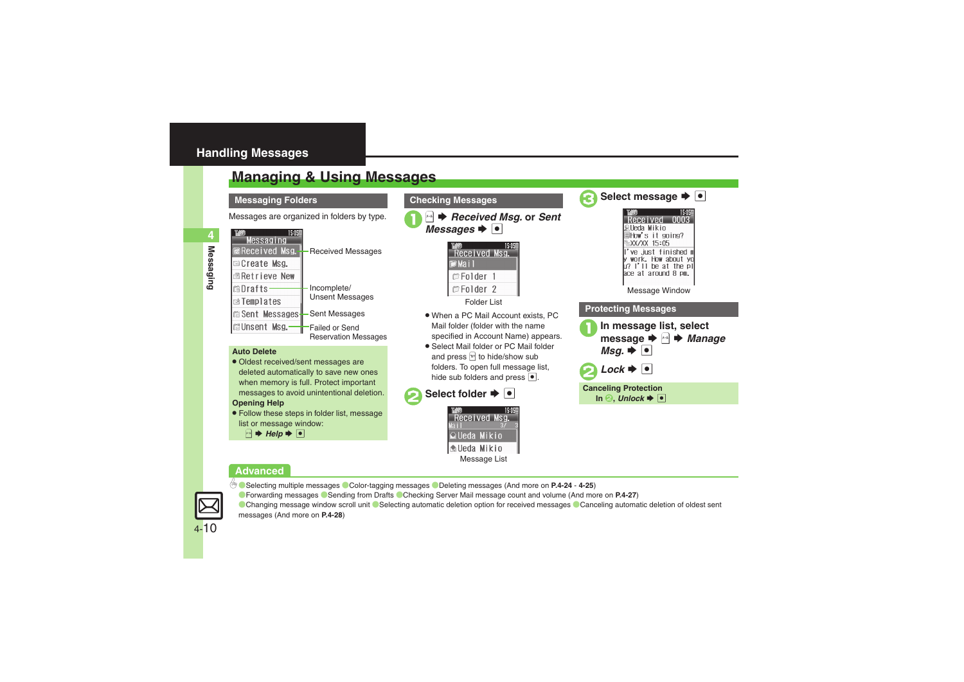### <span id="page-9-0"></span>**Handling Messages**

## <span id="page-9-1"></span>**Managing & Using Messages**

#### **Messaging Folders**



#### **Auto Delete**

- Oldest received/sent messages are deleted automatically to save new ones when memory is full. Protect important messages to avoid unintentional deletion. **Opening Help**
- . Follow these steps in folder list, message list or message window:
	- $A \rightarrow He$ lp  $\rightarrow \Box$

**Checking Messages**

Messages are organized in folders by type. 18 **Received Msg.** or *Sent* Messages  $\blacktriangleright$  **or** 



Folder List

- . When a PC Mail Account exists, PC Mail folder (folder with the name specified in Account Name) appears.
- . Select Mail folder or PC Mail folder and press  $\mathbb{F}$  to hide/show sub folders. To open full message list, hide sub folders and press  $\bullet$ .







**Advanced**

- 0([Selecting multiple messages](#page-23-0) ([Color-tagging messages](#page-23-1) ([Deleting messages](#page-23-2) (And more on **[P.4-24](#page-23-0) [4-25](#page-24-0)**)
- ([Forwarding messages](#page-26-0) ([Sending from Drafts](#page-26-1) ([Checking Server Mail message count and volume](#page-26-2) (And more on **[P.4-27](#page-26-0)**)

[Changing message window scroll unit](#page-27-4) C[Selecting automatic deletion option for received messages](#page-27-5) Canceling automatic deletion of oldest sent [messages](#page-27-6) (And more on **[P.4-28](#page-27-4)**)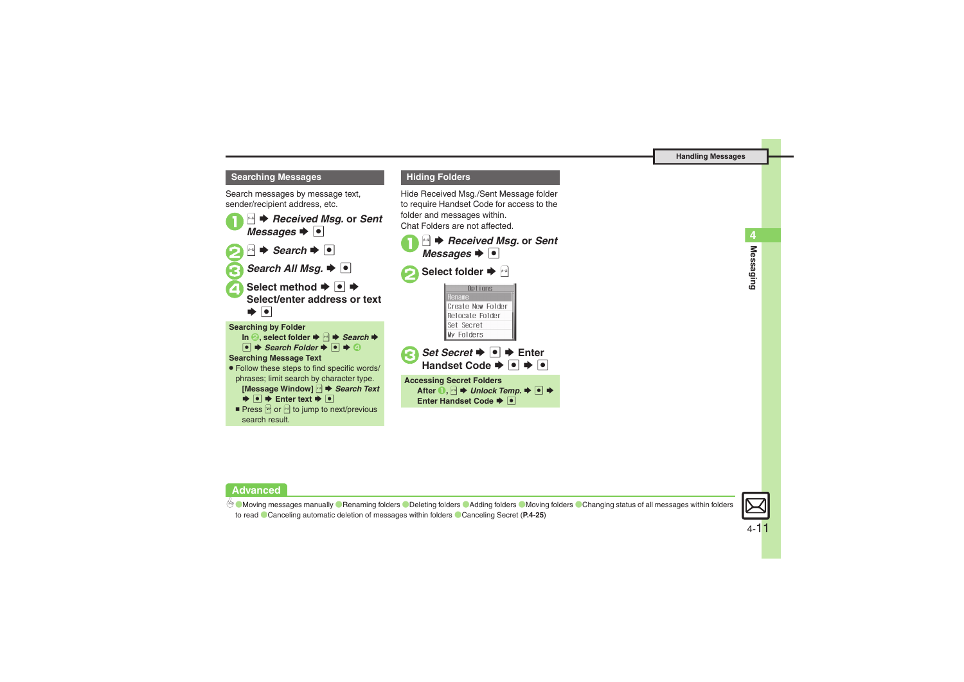#### **Searching Messages**

Search messages by message text, sender/recipient address, etc.



#### **Hiding Folders**

Hide Received Msg./Sent Message folder to require Handset Code for access to the folder and messages within. Chat Folders are not affected.



### **Advanced**

4 **[Moving messages manually](#page-24-1) C** [Renaming folders](#page-24-2) C [Deleting folders](#page-24-3) C [Adding folders](#page-24-4) C [Moving folders](#page-24-5) C Changing status of all messages within folders [to read](#page-24-6)  ([Canceling automatic deletion of messages within folders](#page-24-7) ([Canceling Secret](#page-24-8) (**[P.4-25](#page-24-1)**)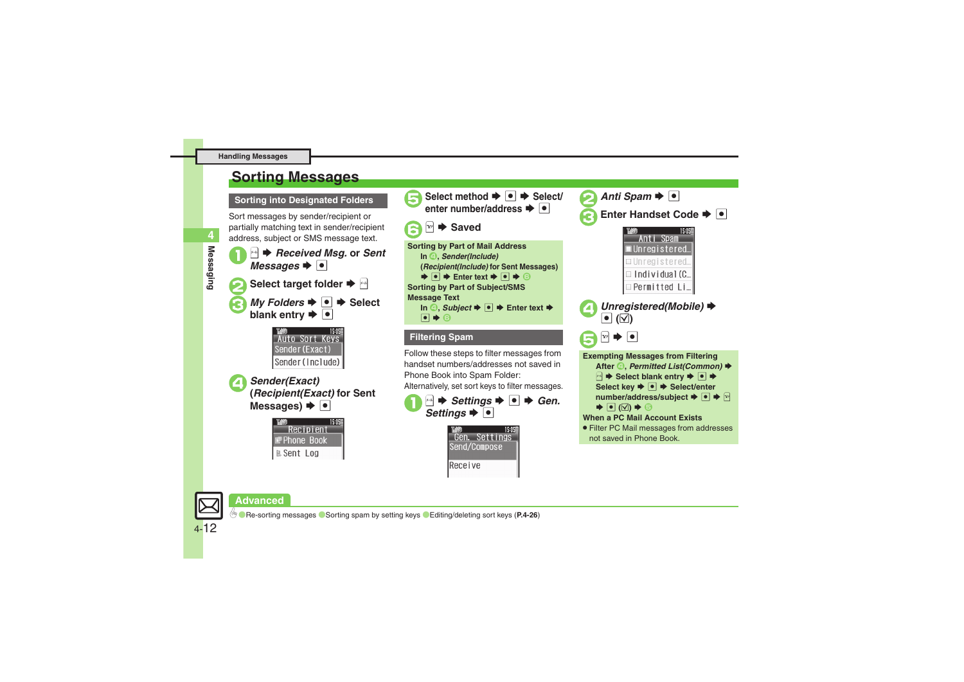## <span id="page-11-0"></span>**Sorting Messages**

**Sorting into Designated Folders**

Sort messages by sender/recipient or partially matching text in sender/recipient address, subject or SMS message text.

<sup>[⊕]</sup> ♦ *Received Msg.* or *Sent Messages*  $\rightarrow$  <sup>[●]</sup> **Select target folder**  $\blacktriangleright$ *My Folders*  $\rightarrow$   $\rightarrow$  Select blank entry  $\rightarrow$  **O** 









handset numbers/addresses not saved in Phone Book into Spam Folder: Alternatively, set sort keys to filter messages.

 $\triangleq$   $\blacktriangleright$  *Settings*  $\blacktriangleright$   $\lceil \bullet \rceil$   $\blacktriangleright$  *Gen.* Settings  $\blacktriangleright$   $\lceil \bullet \rceil$ 



**Enter Handset Code**  $\rightarrow \cdot$ 15:05 Anti Spam ∎Unregistered… □ Unregistered  $\equiv$  Individual (C... Permitted Li. *Unregistered(Mobile)* →<br> **•** (∇) **Exempting Messages from Filtering After <sup>△</sup>,** *Permitted List(Common)* ♦ **B**  $\blacktriangleright$  Select blank entry  $\blacktriangleright$  **O**  $\blacktriangleright$ Select key  $\rightarrow$  <sup>○</sup>  $\rightarrow$  Select/enter number/address/subject **→**  $\bullet$   $\bullet$   $\Join$  $\blacktriangleright$   $\lbrack\!\lbrack\bullet\rbrack\!\rbrack$   $\blacktriangleright$   $\lbrack\!\lbrack\bullet\rbrack\!\rbrack$ **When a PC Mail Account Exists**. Filter PC Mail messages from addresses not saved in Phone Book.

**Advanced**

0([Re-sorting messages](#page-25-0) ([Sorting spam by setting keys](#page-25-1) ([Editing/deleting sort keys](#page-25-2) (**[P.4-26](#page-25-0)**)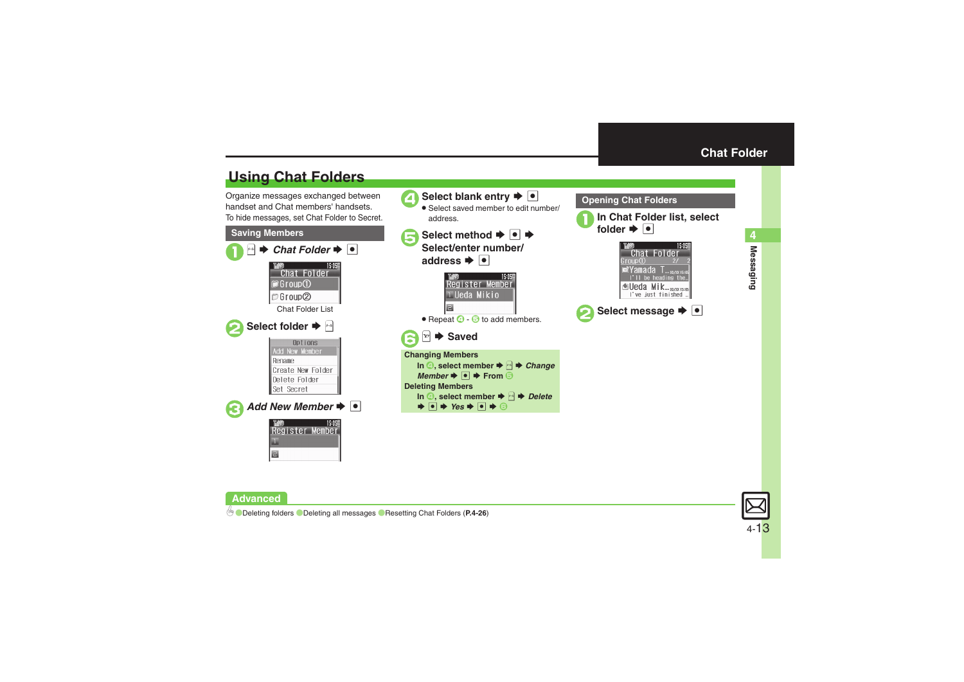# <span id="page-12-1"></span>**Using Chat Folders**

Organize messages exchanged between handset and Chat members' handsets.To hide messages, set Chat Folder to Secret.





<span id="page-12-0"></span>



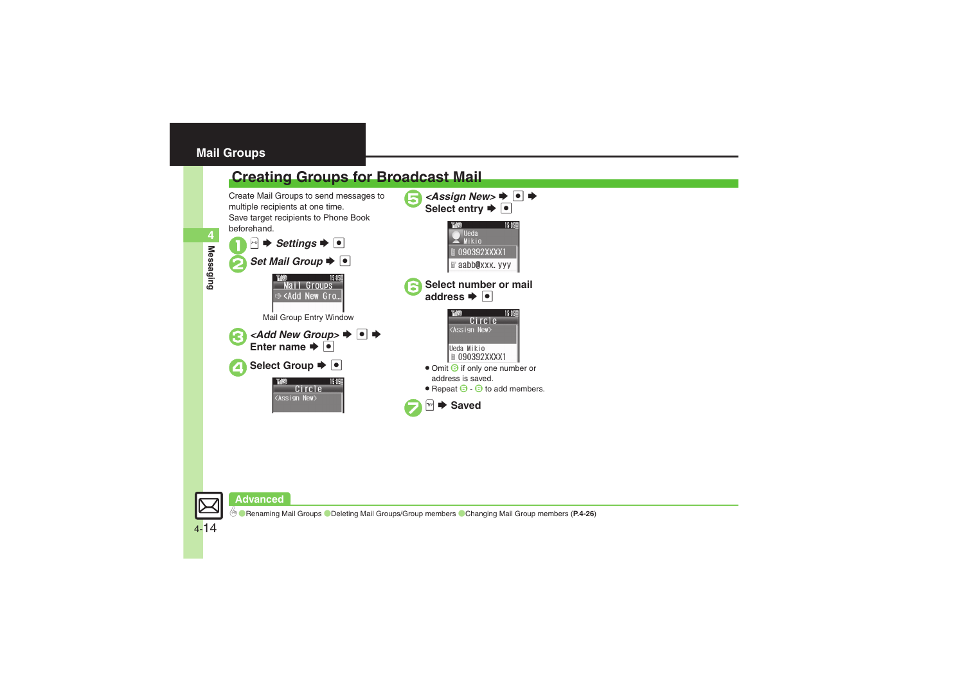### <span id="page-13-0"></span>**Mail Groups**

<span id="page-13-1"></span>

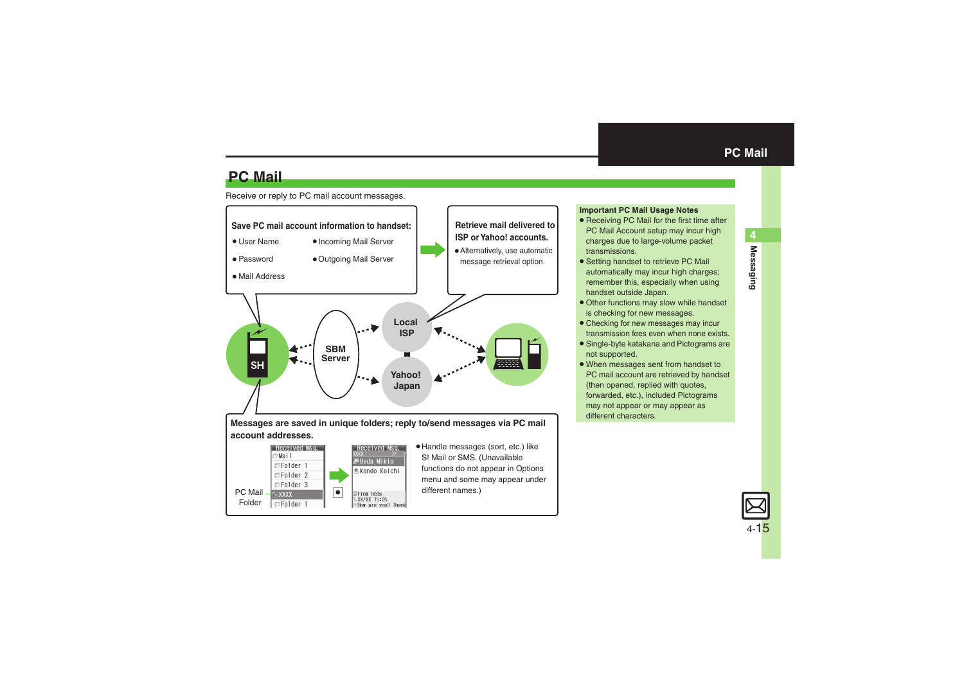**Messaging 4**

**Messaging** 

## **PC Mail**

#### Receive or reply to PC mail account messages.



#### <span id="page-14-0"></span>**Important PC Mail Usage Notes**

- Receiving PC Mail for the first time after PC Mail Account setup may incur high charges due to large-volume packet transmissions.
- **•** Setting handset to retrieve PC Mail automatically may incur high charges; remember this, especially when using handset outside Japan.
- . Other functions may slow while handset is checking for new messages.
- . Checking for new messages may incur transmission fees even when none exists.
- . Single-byte katakana and Pictograms are not supported.
- . When messages sent from handset to PC mail account are retrieved by handset (then opened, replied with quotes, forwarded, etc.), included Pictograms may not appear or may appear as different characters.

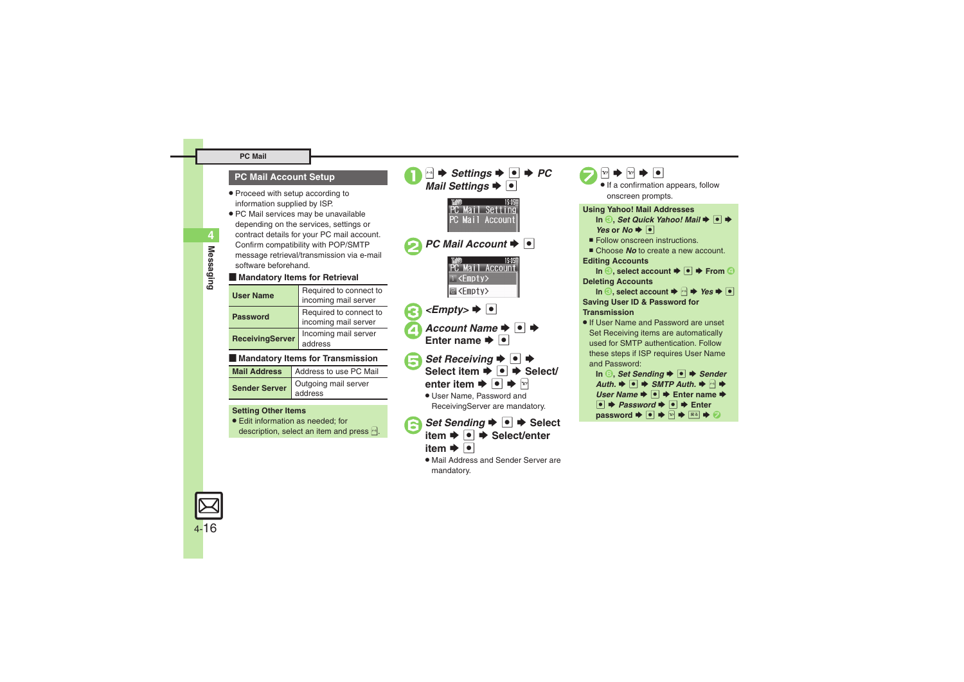#### **PC Mail**

### **PC Mail Account Setup**

- . Proceed with setup according to information supplied by ISP.
- . PC Mail services may be unavailable depending on the services, settings or contract details for your PC mail account. Confirm compatibility with POP/SMTP message retrieval/transmission via e-mail software beforehand.

#### **E** Mandatory Items for Retrieval

| <b>User Name</b>       | Required to connect to<br>incoming mail server |
|------------------------|------------------------------------------------|
| <b>Password</b>        | Required to connect to<br>incoming mail server |
| <b>ReceivingServer</b> | Incoming mail server<br>address                |

#### [ **Mandatory Items for Transmission**

| Mail Address   Address to use PC Mail |
|---------------------------------------|
| Sender Server dutgoing mail server    |

#### **Setting Other Items**

. Edit information as needed; for description, select an item and press  $\mathbb{R}$ .



- $\rightarrow$  **⊙**  $\rightarrow$  Select/enter
- item  $\blacktriangleright$   $\lceil \bullet \rceil$
- . Mail Address and Sender Server are mandatory.

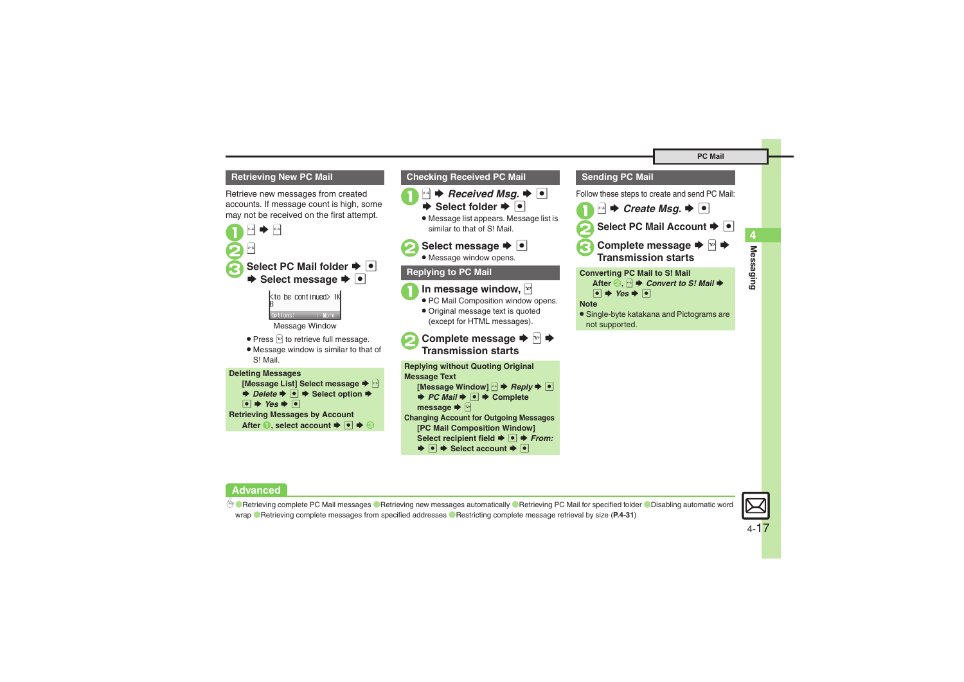#### <span id="page-16-0"></span>**Retrieving New PC Mail**

Retrieve new messages from created accounts. If message count is high, some may not be received on the first attempt.



```
\bullet \star Yes \bullet \bulletRetrieving Messages by Account
After ●, select account \blacktriangleright ● ● ●
```
#### **Checking Received PC Mail**



**▶ Select folder ▶ •** . Message list appears. Message list is similar to that of S! Mail.

# **2** Select message  $\rightarrow$  <sup>0</sup>

. Message window opens.

### **Replying to PC Mail**



- **1** In message window, **PROM** 
	- . PC Mail Composition window opens.
	- . Original message text is quoted (except for HTML messages).
- **2** Complete message **→** <del><sup>1</sup></del> **Transmission starts**

**Replying without Quoting Original Message Text [Message Window]**  B S *Reply* S% $\rightarrow$ *PC Mail*  $\rightarrow$   $\rightarrow$  **Complete message**  SA **Changing Account for Outgoing Messages [PC Mail Composition Window]**  Select recipient field **→** ● *+ From:* 

#### $\blacktriangleright$   $\blacksquare$   $\blacktriangleright$  Select account  $\blacktriangleright$   $\blacksquare$

### **Sending PC Mail**

Follow these steps to create and send PC Mail:

- $\mathbf 0$  $x - \mu$  $\rightarrow$  *Create Msg.*  $\rightarrow$   $\boxed{\bullet}$
- Select PC Mail Account  $\blacktriangleright$  <sup>1</sup>
- **3** Complete message **→** <del><sup>∞</sup></del> → **Transmission starts**

**Converting PC Mail to S! Mail After <sup><b>②**, <u>a</u></u>  $\rightarrow$  *Convert to S! Mail* →</sup>  $\bullet \star$  Yes  $\bullet$   $\bullet$ 

#### **Note**

. Single-byte katakana and Pictograms are not supported.

4 O[Retrieving complete PC Mail messages](#page-30-0) O[Retrieving new messages automatically](#page-30-1) O[Retrieving PC Mail for specified folder](#page-30-2) ODisabling automatic word [wrap](#page-30-3)  ([Retrieving complete messages from specified addresses](#page-30-4) ([Restricting complete message retrieval by size](#page-30-5) (**[P.4-31](#page-30-0)**)

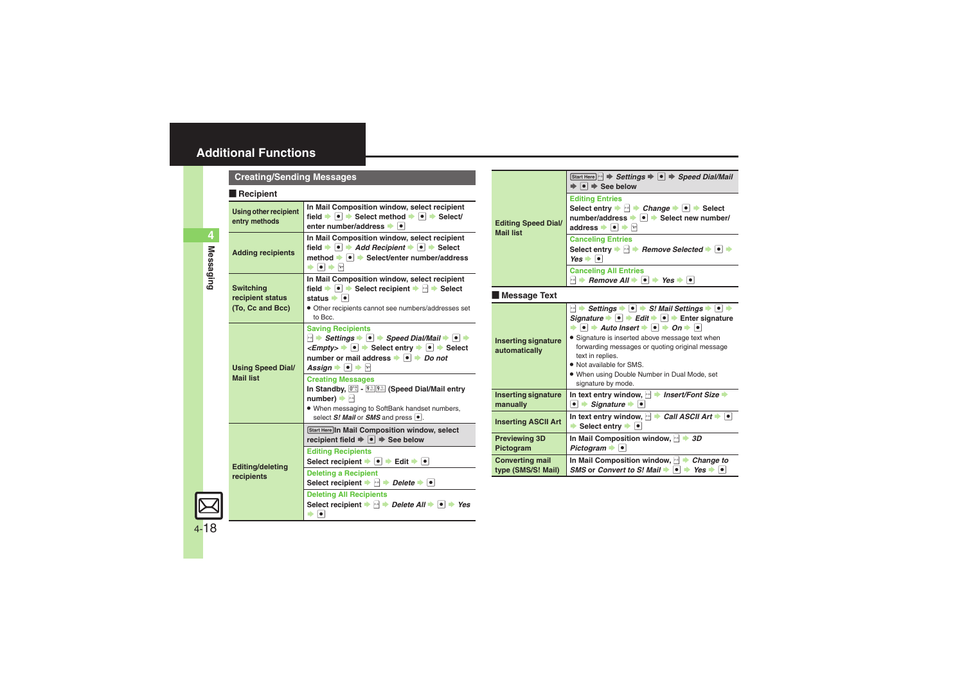#### <span id="page-17-0"></span>**Recipient**

<span id="page-17-5"></span><span id="page-17-2"></span><span id="page-17-1"></span>

| $\blacksquare$ necipient                                 |                                                                                                                                                                                                                                                                                                                                                                                                                        |
|----------------------------------------------------------|------------------------------------------------------------------------------------------------------------------------------------------------------------------------------------------------------------------------------------------------------------------------------------------------------------------------------------------------------------------------------------------------------------------------|
| <b>Using other recipient</b><br>entry methods            | In Mail Composition window, select recipient<br>field $\rightarrow \bullet$ $\rightarrow$ Select method $\rightarrow \bullet$ $\rightarrow$ Select/<br>enter number/address $\bullet$ $\bullet$                                                                                                                                                                                                                        |
| <b>Adding recipients</b>                                 | In Mail Composition window, select recipient<br>field $\rightarrow$ $\bullet$ $\rightarrow$ Add Recipient $\rightarrow$ $\bullet$ $\rightarrow$ Select<br>method → ● → Select/enter number/address<br>$\bullet$ $\bullet$ $\bullet$ $\heartsuit$                                                                                                                                                                       |
| <b>Switching</b><br>recipient status<br>(To, Cc and Bcc) | In Mail Composition window, select recipient<br>field $\blacktriangleright \lceil \bullet \rceil$ $\blacktriangleright$ Select recipient $\blacktriangleright$ $\lvert \bullet \rvert$ $\blacktriangleright$ Select<br>status $\bullet$ $\bullet$<br>· Other recipients cannot see numbers/addresses set<br>to Bcc.                                                                                                    |
| <b>Using Speed Dial/</b><br><b>Mail list</b>             | <b>Saving Recipients</b><br>$\ket{\cdot}$ Settings $\blacktriangleright$ $\ket{\bullet}$ Speed Dial/Mail $\blacktriangleright$ $\ket{\bullet}$<br>$\leq$ <i>Empty&gt;</i> $\rightarrow$ $\circ$ $\rightarrow$ Select entry $\rightarrow$ $\circ$ $\rightarrow$ Select<br>number or mail address $\rightarrow \Box$ Do not<br>Assign $\blacktriangleright$ $\blacktriangleright$ $\blacktriangleright$ $\triangleright$ |
|                                                          | <b>Creating Messages</b><br>In Standby, <sup>[02]</sup> - <sup>9.5</sup> [9.5] (Speed Dial/Mail entry<br>$number) \rightarrow \Box$<br>. When messaging to SoftBank handset numbers,<br>select $S!$ Mail or SMS and press $\lceil \bullet \rceil$ .                                                                                                                                                                    |
|                                                          | Start Here In Mail Composition window, select<br>recipient field $\Rightarrow \bullet \Rightarrow$ See below                                                                                                                                                                                                                                                                                                           |
| <b>Editing/deleting</b><br>recipients                    | <b>Editing Recipients</b><br>Select recipient $\rightarrow \bullet$ $\rightarrow$ Edit $\rightarrow \bullet$                                                                                                                                                                                                                                                                                                           |
|                                                          | <b>Deleting a Recipient</b><br>Select recipient $\blacktriangleright \lnot \blacktriangleright$ Delete $\blacktriangleright \lnot$                                                                                                                                                                                                                                                                                     |
|                                                          | <b>Deleting All Recipients</b><br>Select recipient $\Rightarrow$ $\Rightarrow$ Delete All $\Rightarrow$ $\Rightarrow$ Yes<br>$\bullet$<br>ь                                                                                                                                                                                                                                                                            |

<span id="page-17-4"></span><span id="page-17-3"></span>

| <b>Editing Speed Dial/</b><br><b>Mail list</b> | Start Here $\ket{\cdot}$ $\Rightarrow$ Settings $\Rightarrow$ $\ket{\bullet}$ $\Rightarrow$ Speed Dial/Mail<br>$\bullet \Rightarrow$ See below                                                                                                                                                                                                                                                                                                                                                                                                                                                               |  |
|------------------------------------------------|--------------------------------------------------------------------------------------------------------------------------------------------------------------------------------------------------------------------------------------------------------------------------------------------------------------------------------------------------------------------------------------------------------------------------------------------------------------------------------------------------------------------------------------------------------------------------------------------------------------|--|
|                                                | <b>Editing Entries</b><br>Select entry $\blacktriangleright$ $\bowtie$ $\blacktriangleright$ Change $\blacktriangleright$ $\blacktriangleright$ $\blacktriangleright$ Select<br>number/address → • Select new number/<br>address $\bullet$ $\bullet$ $\bullet$ $\bullet$                                                                                                                                                                                                                                                                                                                                     |  |
|                                                | <b>Canceling Entries</b><br>Select entry $\blacktriangleright$ $\bowtie$ $\blacktriangleright$ Remove Selected $\blacktriangleright$ $\blacktriangleright$ $\blacktriangleright$<br>$Yes \rightarrow \bullet$                                                                                                                                                                                                                                                                                                                                                                                                |  |
|                                                | <b>Canceling All Entries</b><br>$\mathbb{H}$ $\rightarrow$ Remove All $\rightarrow$ $\mathbb{H}$ $\rightarrow$ Yes $\rightarrow$<br>$  \bullet  $                                                                                                                                                                                                                                                                                                                                                                                                                                                            |  |
| <b>Message Text</b>                            |                                                                                                                                                                                                                                                                                                                                                                                                                                                                                                                                                                                                              |  |
| <b>Inserting signature</b><br>automatically    | $\blacksquare$ $\blacktriangleright$ Settings $\blacktriangleright$ $\blacksquare$ $\blacktriangleright$ S! Mail Settings $\blacktriangleright$ $\blacksquare$<br>Signature $\rightarrow$ $\bullet$ $\rightarrow$ Edit $\rightarrow$ $\bullet$ $\rightarrow$ Enter signature<br>$\bullet$ $\Rightarrow$ Auto Insert $\Rightarrow$ $\circ$ $\Rightarrow$ On $\Rightarrow$ $\circ$<br>• Signature is inserted above message text when<br>forwarding messages or quoting original message<br>text in replies.<br>. Not available for SMS.<br>. When using Double Number in Dual Mode, set<br>signature by mode. |  |
| <b>Inserting signature</b><br>manually         | In text entry window, $\Box$ insert/Font Size $\Rightarrow$<br>$\bullet$ $\bullet$ Signature $\bullet$ $\bullet$                                                                                                                                                                                                                                                                                                                                                                                                                                                                                             |  |
| <b>Inserting ASCII Art</b>                     | In text entry window, $\Box$ $\rightarrow$ Call ASCII Art $\rightarrow$<br>Select entry $\rightarrow$ $\bullet$                                                                                                                                                                                                                                                                                                                                                                                                                                                                                              |  |
| <b>Previewing 3D</b><br>Pictogram              | In Mail Composition window, $\rightarrow$ 3D<br>Pictogram $\bullet$ $\bullet$                                                                                                                                                                                                                                                                                                                                                                                                                                                                                                                                |  |
| <b>Converting mail</b><br>type (SMS/S! Mail)   | In Mail Composition window, $\rightarrow$ Change to<br>SMS or Convert to S! Mail $\rightarrow \rightarrow$ Yes $\rightarrow$                                                                                                                                                                                                                                                                                                                                                                                                                                                                                 |  |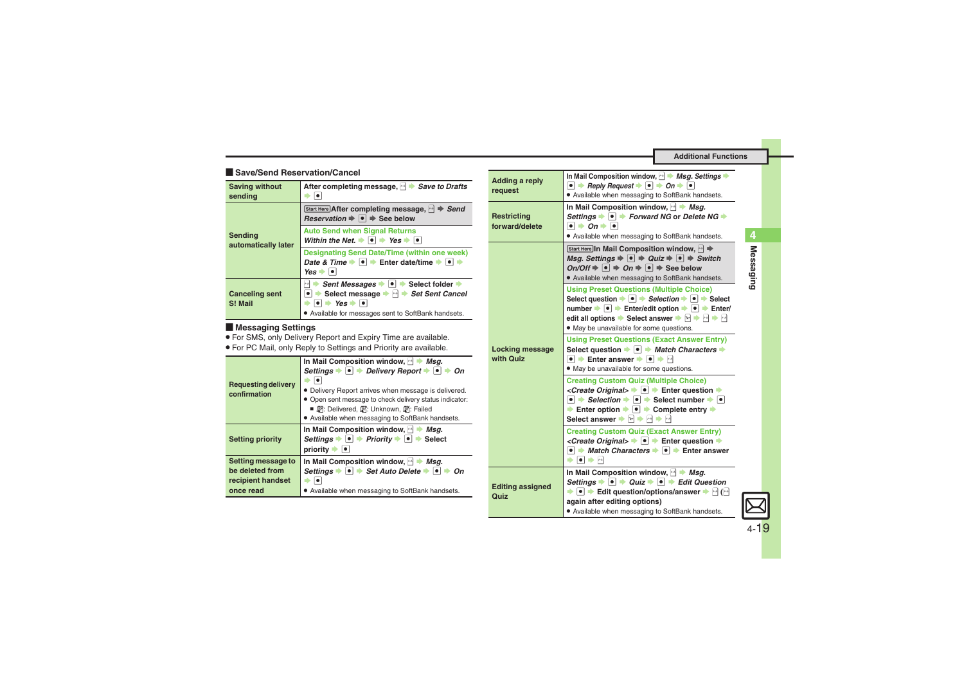#### [ **Save/Send Reservation/Cancel**

<span id="page-18-0"></span>

| <b>Saving without</b><br>sending | After completing message, $\rightarrow$ <i>Save to Drafts</i>                                                                                                                                                                                                                         |
|----------------------------------|---------------------------------------------------------------------------------------------------------------------------------------------------------------------------------------------------------------------------------------------------------------------------------------|
| Sending<br>automatically later   | Start Here After completing message, MA → Send<br><i>Reservation</i> $\Rightarrow$ $\bullet$ $\Rightarrow$ See below                                                                                                                                                                  |
|                                  | <b>Auto Send when Signal Returns</b><br>Within the Net. $\rightarrow \bullet$ $\rightarrow$ Yes $\rightarrow \bullet$                                                                                                                                                                 |
|                                  | <b>Designating Send Date/Time (within one week)</b><br>Date & Time $\blacktriangleright$ $\blacktriangleright$ $\blacktriangleright$ Enter date/time $\blacktriangleright$ $\blacktriangleright$<br>$Yes =$<br>$  \bullet  $                                                          |
| <b>Canceling sent</b><br>S! Mail | Sent Messages<br>$\left \bullet\right $ Select folder $\Rightarrow$<br>$\mathbf{x}\text{-}\mathbf{y}$<br>Select message $\blacktriangleright$ $\blacktriangleright$ Set Sent Cancel<br>$\bullet \bullet$ Yes $\bullet \bullet$<br>• Available for messages sent to SoftBank handsets. |

#### [ **Messaging Settings**

. For SMS, only Delivery Report and Expiry Time are available.

. For PC Mail, only Reply to Settings and Priority are available.

<span id="page-18-1"></span>

| <b>Requesting delivery</b><br>confirmation                              | In Mail Composition window, $\rightarrow$ Msg.<br>Settings $\bullet \bullet$ Delivery Report $\bullet \bullet$<br>Ωn<br>• Delivery Report arrives when message is delivered.<br>• Open sent message to check delivery status indicator:<br>■ 網: Delivered, 国: Unknown, 鹛: Failed<br>. Available when messaging to SoftBank handsets. |
|-------------------------------------------------------------------------|--------------------------------------------------------------------------------------------------------------------------------------------------------------------------------------------------------------------------------------------------------------------------------------------------------------------------------------|
| <b>Setting priority</b>                                                 | In Mail Composition window,<br>Msq.<br>Settings $\bullet \; \bullet \; \bullet$ Priority $\bullet \; \bullet \; \bullet$ Select<br>priority ➡  ●                                                                                                                                                                                     |
| Setting message to<br>be deleted from<br>recipient handset<br>once read | In Mail Composition window, $\rightarrow$ Msq.<br>$\bullet$ $\bullet$ Set Auto Delete $\bullet$ $\bullet$<br>Settinas $\blacktriangleright$<br>Ωn<br>. Available when messaging to SoftBank handsets.                                                                                                                                |

| <b>Adding a reply</b><br>request                                                                                                                                                                                                                                          | In Mail Composition window, $\rightarrow$ <i>Msg. Settings</i><br>$\bullet$ $\Rightarrow$ Reply Request $\Rightarrow$ $\circ$ $\Rightarrow$ On $\Rightarrow$ $\circ$<br>• Available when messaging to SoftBank handsets.                                                                                                                                                                                                                                                                                                           |  |
|---------------------------------------------------------------------------------------------------------------------------------------------------------------------------------------------------------------------------------------------------------------------------|------------------------------------------------------------------------------------------------------------------------------------------------------------------------------------------------------------------------------------------------------------------------------------------------------------------------------------------------------------------------------------------------------------------------------------------------------------------------------------------------------------------------------------|--|
| In Mail Composition window, $\mathbb{R}$ $\blacktriangleright$ Msq.<br>Settings $\bullet \bullet$ Forward NG or Delete NG $\bullet$<br><b>Restricting</b><br>$\bullet \bullet$ On $\bullet \bullet$<br>forward/delete<br>• Available when messaging to SoftBank handsets. |                                                                                                                                                                                                                                                                                                                                                                                                                                                                                                                                    |  |
| Locking message<br>with Quiz                                                                                                                                                                                                                                              | Start Here In Mail Composition window, → $\Rightarrow$<br>Msq. Settings $\Rightarrow$ $\bullet$ $\Rightarrow$ Quiz $\Rightarrow$ $\circ$ $\Rightarrow$ Switch<br>$On/Off \Rightarrow \lceil \bullet \rceil \Rightarrow On \Rightarrow \lceil \bullet \rceil \Rightarrow$ See below<br>• Available when messaging to SoftBank handsets.                                                                                                                                                                                             |  |
|                                                                                                                                                                                                                                                                           | <b>Using Preset Questions (Multiple Choice)</b><br>Select question $\rightarrow \bullet$ $\rightarrow$ Selection $\rightarrow \bullet$ $\rightarrow$ Select<br>number $\Rightarrow$ $\bullet$ $\Rightarrow$ Enter/edit option $\Rightarrow$ $\bullet$ $\Rightarrow$ Enter/<br>edit all options $\blacktriangleright$ Select answer $\blacktriangleright$ $\triangleright$ $\blacktriangleright$ $\dashv$ $\blacktriangleright$ $\dashv$<br>. May be unavailable for some questions.                                                |  |
|                                                                                                                                                                                                                                                                           | <b>Using Preset Questions (Exact Answer Entry)</b><br>Select question $\rightarrow \rightarrow$ Match Characters $\rightarrow$<br>$\bullet$ $\bullet$ Enter answer $\bullet$ $\bullet$ $\bullet$ $\bullet$<br>. May be unavailable for some questions.                                                                                                                                                                                                                                                                             |  |
|                                                                                                                                                                                                                                                                           | <b>Creating Custom Quiz (Multiple Choice)</b><br><create original=""> → I → Enter question →<br/><math>\bullet</math> <math>\rightarrow</math> Selection <math>\rightarrow</math> <math>\bullet</math> <math>\rightarrow</math> Select number <math>\rightarrow</math> <math>\bullet</math><br/>Enter option <math>\rightarrow \bullet</math> <math>\rightarrow</math> Complete entry <math>\rightarrow</math><br/>Select answer <math>\blacktriangleright \boxdot \blacktriangleright \boxdot \blacktriangleright</math></create> |  |
|                                                                                                                                                                                                                                                                           | <b>Creating Custom Quiz (Exact Answer Entry)</b><br>< <i>Create Original&gt;</i> $\rightarrow$ $\bullet$ $\rightarrow$ Enter question $\rightarrow$<br>$\bullet$ $\bullet$ <i>Match Characters</i> $\bullet$ $\bullet$ $\bullet$ Enter answer<br>$\begin{array}{ c c }\n\hline\n\bullet & \bullet\n\end{array}$                                                                                                                                                                                                                    |  |
| <b>Editing assigned</b><br>Quiz                                                                                                                                                                                                                                           | In Mail Composition window, $\mathbb{R}$ $\blacktriangleright$ Msq.<br>Settings $\bullet \; \bullet \; \bullet$ Quiz $\bullet \; \bullet \; \bullet$ Edit Question<br>$\blacktriangleright \lceil \bullet \rceil$ $\blacktriangleright$ Edit question/options/answer $\blacktriangleright$ $\lceil \cdot \rceil$ ( $\lceil \cdot \rceil$<br>again after editing options)<br>· Available when messaging to SoftBank handsets.                                                                                                       |  |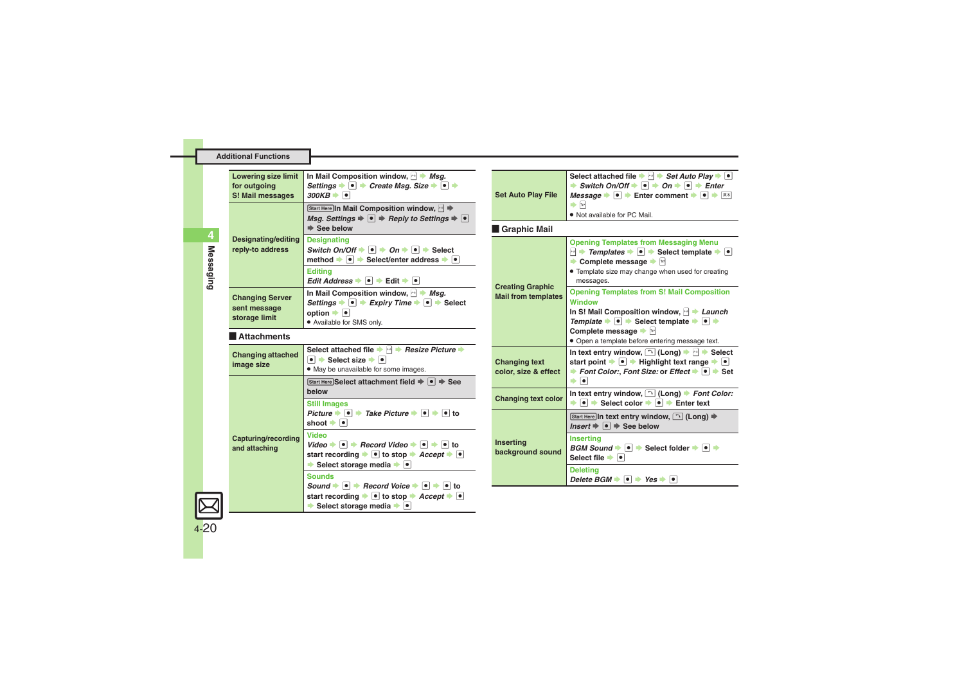| <b>Additional Functions</b> |  |  |  |
|-----------------------------|--|--|--|
|-----------------------------|--|--|--|

<span id="page-19-8"></span><span id="page-19-7"></span><span id="page-19-6"></span><span id="page-19-5"></span><span id="page-19-4"></span><span id="page-19-3"></span><span id="page-19-2"></span><span id="page-19-1"></span><span id="page-19-0"></span>

| <b>Lowering size limit</b><br>for outgoing<br>S! Mail messages | In Mail Composition window, $\mathbb{R}$ $\rightarrow$ Msq.<br>Settings $\bullet \; \bullet \; \bullet$ Create Msg. Size $\bullet \; \bullet \; \bullet$<br>$300KB \rightarrow \bullet$                                                                                                                             | <b>Set Auto Play File</b>                             | Select attached file $\blacktriangleright \lvert \cdot \rvert$ Set Auto Play $\blacktriangleright \lvert \cdot \rvert$<br>$\Rightarrow$ Switch On/Off $\Rightarrow$ $\bullet$ $\Rightarrow$ On $\Rightarrow$ $\bullet$ $\Rightarrow$ Enter<br>Message $\blacktriangleright \lceil \bullet \rceil$ $\blacktriangleright$ Enter comment $\blacktriangleright \lceil \bullet \rceil$ $\blacktriangleright$ $\lceil \overline{\ast} \rceil$ |
|----------------------------------------------------------------|---------------------------------------------------------------------------------------------------------------------------------------------------------------------------------------------------------------------------------------------------------------------------------------------------------------------|-------------------------------------------------------|-----------------------------------------------------------------------------------------------------------------------------------------------------------------------------------------------------------------------------------------------------------------------------------------------------------------------------------------------------------------------------------------------------------------------------------------|
|                                                                | Start Here In Mail Composition window, $\mathbb{R} \Rightarrow$<br>Msq. Settings $\Rightarrow \bullet \Rightarrow$ Reply to Settings $\Rightarrow \bullet$<br>$\Rightarrow$ See below                                                                                                                               | <b>Graphic Mail</b>                                   | $\Rightarrow$ $\boxed{Y}$<br>. Not available for PC Mail.                                                                                                                                                                                                                                                                                                                                                                               |
| <b>Designating/editing</b><br>reply-to address                 | <b>Designating</b><br>Switch On/Off $\Rightarrow$ $\boxed{\bullet}$ $\Rightarrow$ On $\Rightarrow$ $\boxed{\bullet}$ $\Rightarrow$ Select<br>method $\bullet \bullet$ Select/enter address $\bullet \bullet$<br><b>Editina</b><br>Edit Address $\rightarrow$ 0 $\rightarrow$ Edit $\rightarrow$ 0                   |                                                       | <b>Opening Templates from Messaging Menu</b><br>$\Box \rightarrow$ Templates $\rightarrow \Box$ Select template $\rightarrow \Box$<br>• Complete message • $\boxed{\triangleright}$<br>• Template size may change when used for creating<br>messages.                                                                                                                                                                                   |
| <b>Changing Server</b><br>sent message<br>storage limit        | In Mail Composition window, $\mathbb{R}$ $\rightarrow$ Msq.<br>Settings $\blacktriangleright \lceil \bullet \rceil$ $\blacktriangleright$ Expiry Time $\blacktriangleright \lceil \bullet \rceil$ $\blacktriangleright$ Select<br>option $\blacktriangleright$ $\lceil \bullet \rceil$<br>• Available for SMS only. | <b>Creating Graphic</b><br><b>Mail from templates</b> | <b>Opening Templates from S! Mail Composition</b><br><b>Window</b><br>In S! Mail Composition window, $\mathbb{P}$ $\blacktriangleright$ Launch<br>Template $\rightarrow \bullet$ $\rightarrow$ Select template $\rightarrow \bullet$ $\rightarrow$                                                                                                                                                                                      |
| Attachments                                                    |                                                                                                                                                                                                                                                                                                                     |                                                       | Complete message $\blacktriangleright$ $\triangleright$<br>· Open a template before entering message text.                                                                                                                                                                                                                                                                                                                              |
| <b>Changing attached</b><br>image size                         | Select attached file → A Resize Picture →<br>$\bullet$ $\bullet$ Select size $\bullet$ $\bullet$<br>. May be unavailable for some images.                                                                                                                                                                           | <b>Changing text</b><br>color, size & effect          | In text entry window, $\bigcap$ (Long) $\Rightarrow$ $\bigcap$ $\Rightarrow$ Select<br>start point $\blacktriangleright \lceil \bullet \rceil$ $\blacktriangleright$ Highlight text range $\blacktriangleright \lceil \bullet \rceil$<br>▶ Font Color:, Font Size: or Effect $\rightarrow \boxed{\bullet}$ $\rightarrow$ Set<br>$\bullet$ $\bullet$                                                                                     |
|                                                                | Start Here Select attachment field → ● → See<br>below<br><b>Still Images</b>                                                                                                                                                                                                                                        | <b>Changing text color</b>                            | In text entry window, $\boxed{\sim}$ (Long) > Font Color:<br>$\bullet$ $\bullet$ Select color $\bullet$ $\bullet$ $\bullet$ Enter text                                                                                                                                                                                                                                                                                                  |
|                                                                | Picture $\blacktriangleright$ $\lvert \bullet \rvert$ $\blacktriangleright$ Take Picture $\blacktriangleright$ $\lvert \bullet \rvert$ $\blacktriangleright$ $\lvert \bullet \rvert$ to<br>shoot $\bullet$ $\bullet$                                                                                                |                                                       | Start Here In text entry window, <u>(1)</u> (Long) $\Rightarrow$<br>Insert $\Rightarrow$ $\bullet$ $\Rightarrow$ See below                                                                                                                                                                                                                                                                                                              |
| Capturing/recording<br>and attaching                           | Video<br>Video $\Rightarrow$ $\bullet$ $\Rightarrow$ Record Video $\Rightarrow$ $\bullet$ $\Rightarrow$ $\bullet$ to<br>start recording $\blacktriangleright$ $\lceil \bullet \rceil$ to stop $\blacktriangleright$ Accept $\blacktriangleright$ $\lceil \bullet \rceil$<br>Select storage media • •                | <b>Inserting</b><br>background sound                  | <b>Inserting</b><br>$BGM Sound \rightarrow \bullet$ Select folder $\rightarrow \bullet$<br>Select file $\bullet$ $\bullet$                                                                                                                                                                                                                                                                                                              |
|                                                                | <b>Sounds</b><br>Sound $\rightarrow$ $\mid \cdot \mid$ $\rightarrow$ Record Voice $\rightarrow$ $\mid \cdot \mid$ $\rightarrow$ $\mid \cdot \mid$ to<br>start recording $\rightarrow \bullet$ to stop $\rightarrow$ <i>Accept</i> $\rightarrow \bullet$<br>Select storage media $\rightarrow$ $\bullet$             |                                                       | <b>Deletina</b><br>Delete BGM $\Rightarrow$ $\bullet$ $\Rightarrow$ Yes $\Rightarrow$ $\bullet$                                                                                                                                                                                                                                                                                                                                         |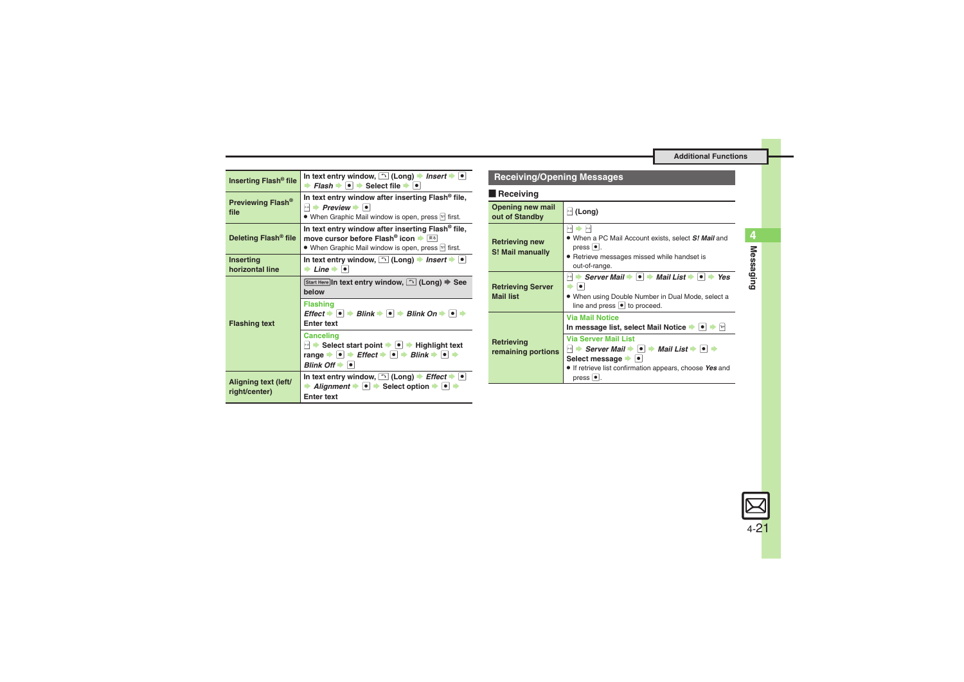<span id="page-20-3"></span><span id="page-20-2"></span><span id="page-20-1"></span><span id="page-20-0"></span>

| Inserting Flash <sup>®</sup> file     | In text entry window, $\bigcap$ (Long) $\rightarrow$ Insert $\rightarrow \bullet$<br><b><math>\rightarrow</math> Flash <math>\rightarrow</math> <math>\bullet</math></b> $\rightarrow$ Select file $\rightarrow$ $\bullet$                                                                                             |  |
|---------------------------------------|------------------------------------------------------------------------------------------------------------------------------------------------------------------------------------------------------------------------------------------------------------------------------------------------------------------------|--|
| Previewing Flash <sup>®</sup><br>file | In text entry window after inserting Flash <sup>®</sup> file,<br>$\vdash$ Preview $\blacktriangleright$ $\lvert \bullet \rvert$<br>• When Graphic Mail window is open, press Me first.                                                                                                                                 |  |
| Deleting Flash <sup>®</sup> file      | In text entry window after inserting Flash® file,<br>move cursor before Flash <sup>®</sup> icon → <u><b><del>R</del></b></u><br>• When Graphic Mail window is open, press $\lbrack v \rbrack$ first.                                                                                                                   |  |
| <b>Inserting</b><br>horizontal line   | In text entry window, $\bigcap$ (Long) $\blacktriangleright$ Insert $\blacktriangleright$<br>$\rightarrow$ Line $\rightarrow$ $\lceil \bullet \rceil$                                                                                                                                                                  |  |
| <b>Flashing text</b>                  | Start Here In text entry window, [∩] (Long) ⇒ See<br>helow                                                                                                                                                                                                                                                             |  |
|                                       | <b>Flashing</b><br>$Effect \rightarrow \blacksquare \rightarrow Blink \rightarrow \blacksquare \rightarrow Blink \ On \rightarrow \blacksquare \rightarrow$<br><b>Enter text</b>                                                                                                                                       |  |
|                                       | <b>Canceling</b><br>$\blacktriangleright$ Select start point $\blacktriangleright$ $\blacktriangleright$ $\blacktriangleright$ Highlight text<br>range $\Rightarrow$ $\bullet$ $\Rightarrow$ Effect $\Rightarrow$ $\circ$ $\Rightarrow$ Blink $\Rightarrow$ $\circ$ $\Rightarrow$<br>Blink Off $\rightarrow$ $\bullet$ |  |
| Aligning text (left/<br>right/center) | In text entry window, $\bigcap$ (Long) $\Rightarrow$ <i>Effect</i> $\Rightarrow$ $\bigcirc$<br>Alignment $\bullet$ $\bullet$ $\bullet$ Select option $\bullet$ $\bullet$ $\bullet$<br><b>Enter text</b>                                                                                                                |  |

### **Receiving/Opening Messages**

#### **Receiving**

<span id="page-20-5"></span><span id="page-20-4"></span>

| Opening new mail<br>out of Standby           | $\mathbb{H}$ (Long)                                                                                                                                                                                                                                          |  |
|----------------------------------------------|--------------------------------------------------------------------------------------------------------------------------------------------------------------------------------------------------------------------------------------------------------------|--|
| <b>Retrieving new</b><br>S! Mail manually    | $ s-a $<br>$\mathbf{x}\text{-}\mathbf{z}$<br>. When a PC Mail Account exists, select S! Mail and<br>press $ • $ .<br>• Retrieve messages missed while handset is<br>out-of-range.                                                                            |  |
| <b>Retrieving Server</b><br><b>Mail list</b> | Server Mail $\rightarrow$ $\rightarrow$ Mail List $\rightarrow$ $\rightarrow$<br>Yes<br>$\mathbf{x}\text{-}\mathbf{z}$<br>٠o<br>. When using Double Number in Dual Mode, select a<br>line and press $\bullet$ to proceed.                                    |  |
|                                              | <b>Via Mail Notice</b><br>In message list, select Mail Notice     •  <br><b>Via Server Mail List</b>                                                                                                                                                         |  |
| Retrieving<br>remaining portions             | $\mathbb{H}$ $\Rightarrow$ Server Mail $\Rightarrow$ $\mathbf{ \bullet }$ $\Rightarrow$ Mail List $\Rightarrow$ $\mathbf{ \bullet }$ $\Rightarrow$<br>Select message →  ● <br>If retrieve list confirmation appears, choose Yes and<br>press $  \bullet  $ . |  |

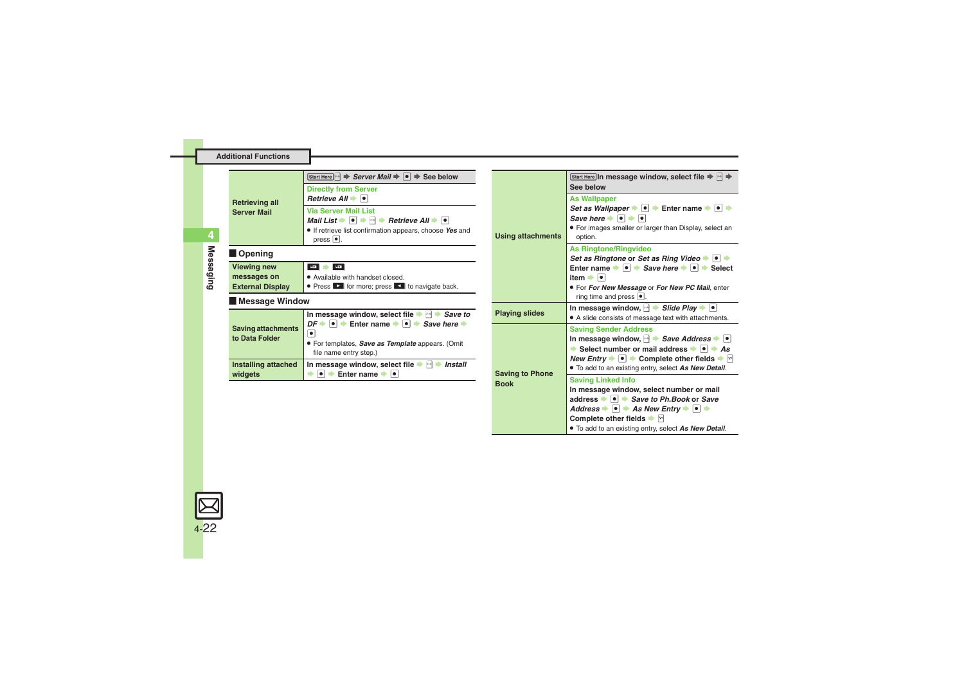<span id="page-21-1"></span><span id="page-21-0"></span>

| <b>Retrieving all</b>                                        | Start Here $\ket{\cdot}$ $\Rightarrow$ Server Mail $\Rightarrow$ $\ket{\bullet}$ $\Rightarrow$ See below<br><b>Directly from Server</b><br>Retrieve All $\rightarrow$ $\mid \bullet \mid$                                                                                             |                |
|--------------------------------------------------------------|---------------------------------------------------------------------------------------------------------------------------------------------------------------------------------------------------------------------------------------------------------------------------------------|----------------|
| <b>Server Mail</b>                                           | <b>Via Server Mail List</b><br>Mail List $\blacktriangleright \lceil \bullet \rceil \blacktriangleright \lceil \bullet \rceil$ Retrieve All $\blacktriangleright \lceil \bullet \rceil$<br><b>•</b> If retrieve list confirmation appears, choose Yes and<br>$pres \nightharpoonup$ . | Using at       |
| Opening                                                      |                                                                                                                                                                                                                                                                                       |                |
| <b>Viewing new</b><br>messages on<br><b>External Display</b> | <b>ROT</b><br>20<br>• Available with handset closed.<br>• Press <b>D</b> for more; press <b>D</b> to navigate back.                                                                                                                                                                   |                |
| Message Window                                               |                                                                                                                                                                                                                                                                                       |                |
|                                                              | In message window, select file $\blacktriangleright$ $\bowtie$ $\blacktriangleright$ <i>Save to</i>                                                                                                                                                                                   | <b>Playing</b> |
| <b>Saving attachments</b><br>to Data Folder                  | $DF \rightarrow \bullet \Rightarrow$ Enter name $\rightarrow \bullet \Rightarrow$ Save here $\rightarrow$<br>$\bullet$<br>• For templates, Save as Template appears. (Omit<br>file name entry step.)                                                                                  |                |
| Installing attached<br>widgets                               | In message window, select file $\blacktriangleright$ $\blacktriangleright$<br><b>Install</b><br>$\bullet$ $\bullet$ Enter name $\bullet$ $\bullet$                                                                                                                                    | Saving t       |
|                                                              |                                                                                                                                                                                                                                                                                       | <b>Book</b>    |

<span id="page-21-2"></span>

| <b>Using attachments</b>              | Start Here In message window, select file ⇒ $\rightarrow$ →<br>See below                                                                                                                                                                                                                                                        |
|---------------------------------------|---------------------------------------------------------------------------------------------------------------------------------------------------------------------------------------------------------------------------------------------------------------------------------------------------------------------------------|
|                                       | <b>As Wallpaper</b><br>Set as Wallpaper $\rightarrow \bullet$ $\rightarrow$ Enter name $\rightarrow \bullet$ $\rightarrow$<br>Save here $\rightarrow$ $\rightarrow$ $\rightarrow$ $\rightarrow$<br>• For images smaller or larger than Display, select an<br>option.                                                            |
|                                       | <b>As Ringtone/Ringvideo</b><br>Set as Ringtone or Set as Ring Video → ● →<br>Enter name $\rightarrow \bullet$ $\rightarrow$ Save here $\rightarrow \bullet$ $\rightarrow$ Select<br>item $\rightarrow$ $\rightarrow$                                                                                                           |
|                                       | . For For New Message or For New PC Mail, enter<br>ring time and press $  \bullet  $ .                                                                                                                                                                                                                                          |
| <b>Playing slides</b>                 | In message window, $\blacktriangleright$ Slide Play $\blacktriangleright$ $\lceil \bullet \rceil$<br>• A slide consists of message text with attachments.                                                                                                                                                                       |
| <b>Saving to Phone</b><br><b>Book</b> | <b>Saving Sender Address</b><br>In message window, $\ket{\cdot}$ <i>Save Address</i> $\ket{\cdot}$<br>Select number or mail address $\rightarrow$ $\rightarrow$ As<br><i>New Entry</i> $\rightarrow$ $\bullet$ $\rightarrow$ Complete other fields $\rightarrow$ $\sim$<br>. To add to an existing entry, select As New Detail. |
|                                       | <b>Saving Linked Info</b><br>In message window, select number or mail<br>address ▶ ● ▶ Save to Ph.Book or Save<br>Address $\bullet$ $\bullet$ $\bullet$ As New Entry $\bullet$ $\bullet$ $\bullet$<br>Complete other fields $\blacktriangleright$ $\triangleright$<br>. To add to an existing entry, select As New Detail.      |

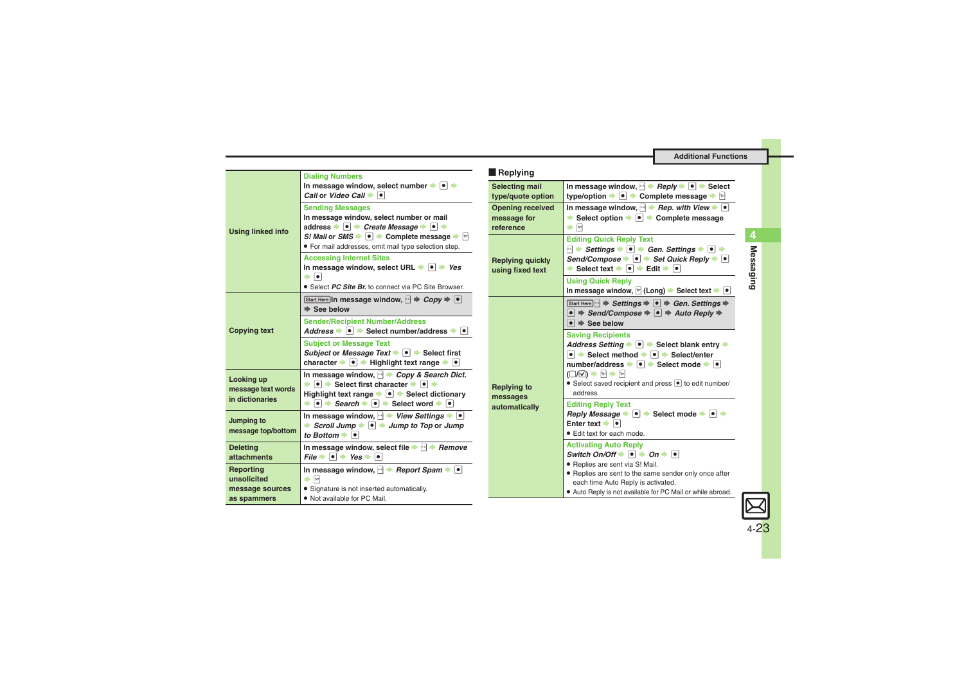<span id="page-22-3"></span><span id="page-22-2"></span><span id="page-22-1"></span><span id="page-22-0"></span>

|                                                     | <b>Dialing Numbers</b>                                                                                                                                                                                                                                               | Replying                                            |  |
|-----------------------------------------------------|----------------------------------------------------------------------------------------------------------------------------------------------------------------------------------------------------------------------------------------------------------------------|-----------------------------------------------------|--|
|                                                     | In message window, select number $\rightarrow \rightarrow \rightarrow$<br>Call or Video Call $\rightarrow \blacksquare$                                                                                                                                              | Selecting mail<br>type/quote option                 |  |
| <b>Using linked info</b>                            | <b>Sending Messages</b><br>In message window, select number or mail<br>address $\rightarrow \bullet$ $\rightarrow$ Create Message $\rightarrow \bullet$ $\rightarrow$                                                                                                | <b>Opening received</b><br>message for<br>reference |  |
|                                                     | S! Mail or SMS $\blacktriangleright$ $\blacksquare$ $\blacktriangleright$ Complete message $\blacktriangleright$ $\triangleright$<br>· For mail addresses, omit mail type selection step.<br><b>Accessing Internet Sites</b>                                         |                                                     |  |
|                                                     | In message window, select URL $\rightarrow \bullet$ Yes<br>$\bullet$ 0                                                                                                                                                                                               | <b>Replying quickly</b><br>using fixed text         |  |
|                                                     | • Select PC Site Br. to connect via PC Site Browser.                                                                                                                                                                                                                 |                                                     |  |
|                                                     | Start Here In message window, $\boxed{\rightarrow}$ $\rightarrow$ $Copy \rightarrow \boxed{\bullet}$<br>$\Rightarrow$ See below                                                                                                                                      |                                                     |  |
| <b>Copying text</b>                                 | <b>Sender/Recipient Number/Address</b><br>Address $\bullet$ $\bullet$ Select number/address $\bullet$ $\bullet$                                                                                                                                                      |                                                     |  |
|                                                     | <b>Subject or Message Text</b><br>Subject or Message Text $\blacktriangleright$ $\lvert \bullet \rvert$ Select first<br>character $\blacktriangleright \lceil \bullet \rceil$ $\blacktriangleright$ Highlight text range $\blacktriangleright \lceil \bullet \rceil$ |                                                     |  |
| Looking up<br>message text words<br>in dictionaries | In message window, $\rightarrow$ Copy & Search Dict.<br>$\bullet \bullet$ Select first character $\bullet \bullet$<br>Highlight text range $\blacktriangleright \lceil \bullet \rceil$ $\blacktriangleright$ Select dictionary                                       | <b>Replying to</b><br>messages                      |  |
|                                                     | $\rightarrow$ $\rightarrow$ Search $\rightarrow$ $\rightarrow$ Select word $\rightarrow$ $\rightarrow$                                                                                                                                                               | automatically                                       |  |
| Jumping to<br>message top/bottom                    | In message window, $\rightarrow$ View Settings $\rightarrow$ $\rightarrow$<br>Scroll Jump $\Rightarrow$ $\bullet$ $\Rightarrow$ Jump to Top or Jump<br>to Bottom $\blacktriangleright$ $\lceil \bullet \rceil$                                                       |                                                     |  |
| <b>Deleting</b><br>attachments                      | In message window, select file $\blacktriangleright \bowtie \blacktriangleright$ Remove<br>$File \rightarrow \Box \rightarrow Yes \rightarrow \Box$                                                                                                                  |                                                     |  |
| Reporting<br>unsolicited                            | In message window, $\rightarrow$ Report Spam $\rightarrow \rightarrow$<br>$\Rightarrow$ $\boxed{Y}$                                                                                                                                                                  |                                                     |  |
| message sources<br>as spammers                      | • Signature is not inserted automatically.<br>. Not available for PC Mail.                                                                                                                                                                                           |                                                     |  |

<span id="page-22-7"></span><span id="page-22-6"></span><span id="page-22-5"></span><span id="page-22-4"></span>

| eplying                              |                                                                                                                                                                                                                                                                                                                                                                                                             |
|--------------------------------------|-------------------------------------------------------------------------------------------------------------------------------------------------------------------------------------------------------------------------------------------------------------------------------------------------------------------------------------------------------------------------------------------------------------|
| ecting mail<br>e/quote option        | In message window, $\rightarrow$ Reply $\rightarrow$ $\rightarrow$ Select<br>type/option $\blacktriangleright \lceil \bullet \rceil$ $\blacktriangleright$ Complete message $\blacktriangleright$ $\lbrack x \rbrack$                                                                                                                                                                                       |
| ening received<br>ssage for<br>rence | In message window, $\rightarrow$ Rep. with View $\rightarrow$ $\bullet$<br>Select option $\rightarrow \bullet$ $\rightarrow$ Complete message<br>$\rightarrow \sqrt{2}$                                                                                                                                                                                                                                     |
| lying quickly<br>ng fixed text       | <b>Editing Quick Reply Text</b><br>$\Box \rightarrow$ Settings $\rightarrow \Box \rightarrow$ Gen. Settings $\rightarrow \Box \rightarrow \Box$<br>Send/Compose $\bullet \; \bullet \; \bullet$ Set Quick Reply $\bullet \; \bullet$<br>Select text $\bullet \bullet$ $\bullet$ Edit $\bullet \bullet$                                                                                                      |
|                                      | <b>Using Quick Reply</b><br>In message window, $\boxed{\infty}$ (Long) $\blacktriangleright$ Select text $\blacktriangleright$ $\blacktriangleright$                                                                                                                                                                                                                                                        |
| lying to<br>ssages<br>omatically     | Start Here $\ket{\cdot}$ $\Rightarrow$ Settings $\Rightarrow$ $\ket{\bullet}$ $\Rightarrow$ Gen. Settings $\Rightarrow$<br>$\bullet$ $\Rightarrow$ Send/Compose $\Rightarrow$ $\bullet$ $\Rightarrow$ Auto Reply $\Rightarrow$<br>$\bullet$ $\Rightarrow$ See below                                                                                                                                         |
|                                      | <b>Saving Recipients</b><br>Address Setting → <sup>●</sup> → Select blank entry →<br>$\bullet$ $\bullet$ Select method $\bullet$ $\bullet$ $\bullet$ Select/enter<br>number/address $\rightarrow \bullet$ $\rightarrow$ Select mode $\rightarrow \bullet$<br>$(\Box/\Box)$ $\rightarrow$ $\triangleright$ $\rightarrow$ $\triangleright$<br>• Select saved recipient and press • to edit number/<br>address |
|                                      | <b>Editing Reply Text</b><br>Reply Message $\bullet \; \bullet \; \bullet$ Select mode $\bullet \; \bullet \; \bullet$<br>Enter text $\rightarrow$ $\boxed{\bullet}$<br>• Edit text for each mode.                                                                                                                                                                                                          |
|                                      | <b>Activating Auto Reply</b><br>Switch On/Off $\bullet$ $\bullet$ $\bullet$ On $\bullet$ $\bullet$<br>· Replies are sent via S! Mail.<br>• Replies are sent to the same sender only once after<br>each time Auto Reply is activated.<br>• Auto Reply is not available for PC Mail or while abroad.                                                                                                          |

**Messaging**

**4**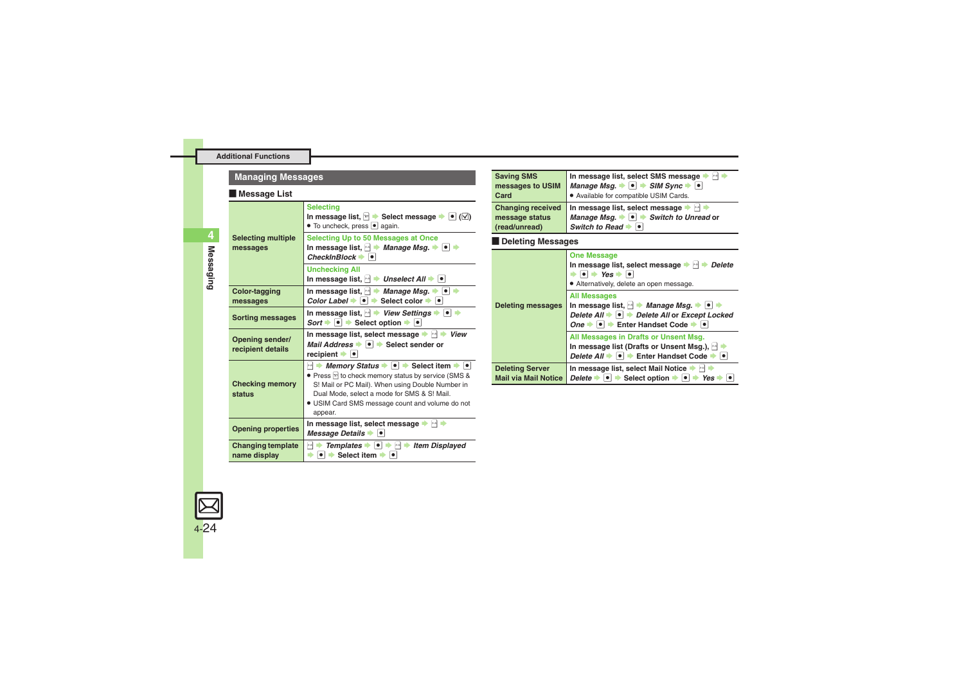### **Managing Messages**

#### [ **Message List**

<span id="page-23-1"></span><span id="page-23-0"></span>

|                                          | <b>Selecting</b><br>In message list, $\boxed{v}$ $\blacktriangleright$ Select message $\blacktriangleright$ $\blacktriangleright$ $\boxed{0}$ ( $\boxed{\triangle}$ )<br>• To uncheck, press • again.                                                                                                                                                    |
|------------------------------------------|----------------------------------------------------------------------------------------------------------------------------------------------------------------------------------------------------------------------------------------------------------------------------------------------------------------------------------------------------------|
| <b>Selecting multiple</b><br>messages    | <b>Selecting Up to 50 Messages at Once</b><br>In message list, $\rightarrow$ <i>Manage Msg.</i> $\rightarrow$ $\rightarrow$ $\rightarrow$<br>$CheckInBlock \rightarrow \bullet$                                                                                                                                                                          |
|                                          | <b>Unchecking All</b><br>In message list, $  $ $\rightarrow$ <i>Unselect All</i> $\rightarrow$ $\rightarrow$                                                                                                                                                                                                                                             |
| Color-tagging<br>messages                | In message list, $\rightarrow$ <i>Manage Msg.</i> $\rightarrow$ $\rightarrow$<br>Color Label $\bullet$ $\bullet$ Select color $\bullet$ $\bullet$                                                                                                                                                                                                        |
| <b>Sorting messages</b>                  | In message list, N > View Settings → O +<br>Sort $\rightarrow \bullet$ $\rightarrow$ Select option $\rightarrow \bullet$                                                                                                                                                                                                                                 |
| Opening sender/<br>recipient details     | In message list, select message<br>View<br>Mail Address $\bullet$ $\bullet$ Select sender or<br>recipient $\bullet$                                                                                                                                                                                                                                      |
| <b>Checking memory</b><br>status         | $\ket{\cdot}$ Memory Status $\blacktriangleright$ $\ket{\bullet}$ Select item $\blacktriangleright$ $\ket{\bullet}$<br>• Press <sup>[27]</sup> to check memory status by service (SMS &<br>S! Mail or PC Mail). When using Double Number in<br>Dual Mode, select a mode for SMS & S! Mail.<br>· USIM Card SMS message count and volume do not<br>appear. |
| <b>Opening properties</b>                | In message list, select message $\blacktriangleright \lnot \blacktriangleright$<br>Message Details $\blacktriangleright$ $\blacktriangleright$ $\blacktriangleright$                                                                                                                                                                                     |
| <b>Changing template</b><br>name display | <b>Templates</b> $\bullet$ $\bullet$ $\bullet$ $\bullet$<br>××<br><b>Item Displayed</b><br>$\bullet$ $\bullet$ Select item $\bullet$<br>$\bullet$                                                                                                                                                                                                        |

<span id="page-23-2"></span>

| <b>Saving SMS</b><br>messages to USIM<br>Card               | In message list, select SMS message<br>$x - x$<br>Manage Msg. $\bullet$ $\bullet$ $\bullet$ SIM Sync $\bullet$ $\bullet$<br>. Available for compatible USIM Cards.                                                                                                                                                                                                                                                                                             |  |
|-------------------------------------------------------------|----------------------------------------------------------------------------------------------------------------------------------------------------------------------------------------------------------------------------------------------------------------------------------------------------------------------------------------------------------------------------------------------------------------------------------------------------------------|--|
| <b>Changing received</b><br>message status<br>(read/unread) | In message list, select message<br>$\mathbf{x}\text{-}\mathbf{g}$<br>Manage Msq. $\bullet$ $\bullet$ Switch to Unread or<br>Switch to Read $\Rightarrow$ $\bullet$ $\vdash$                                                                                                                                                                                                                                                                                    |  |
| <b>Deleting Messages</b>                                    |                                                                                                                                                                                                                                                                                                                                                                                                                                                                |  |
| <b>Deleting messages</b>                                    | <b>One Message</b><br>In message list, select message $\rightarrow \rightarrow$ Delete<br>$\bullet \bullet$ Yes $\bullet \bullet$<br>• Alternatively, delete an open message.<br><b>All Messages</b><br>In message list, $ \cdot $ <i>Manage Msg.</i> $\rightarrow$ <b>e</b><br>Delete All $\blacktriangleright$ $\blacktriangleright$ $\blacktriangleright$ Delete All or Except Locked<br>One $\rightarrow \bullet$ Fnter Handset Code $\rightarrow \bullet$ |  |
|                                                             | All Messages in Drafts or Unsent Msg.<br>In message list (Drafts or Unsent Msg.), and<br>Delete All $\rightarrow \bullet$ $\rightarrow$ Enter Handset Code $\rightarrow \bullet$                                                                                                                                                                                                                                                                               |  |
| <b>Deleting Server</b><br><b>Mail via Mail Notice</b>       | In message list, select Mail Notice $\blacktriangleright$ $\blacktriangleright$<br>Delete $\rightarrow  \bullet $ $\rightarrow$ Select option $\rightarrow  \bullet $ $\rightarrow$ Yes $\rightarrow$                                                                                                                                                                                                                                                          |  |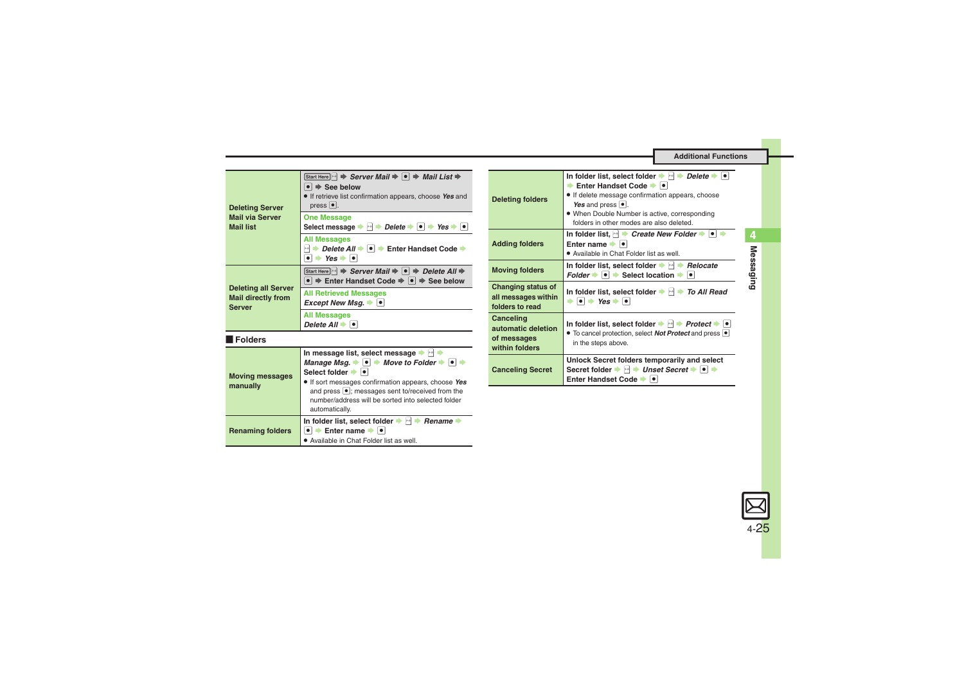<span id="page-24-0"></span>

| <b>Deleting Server</b><br><b>Mail via Server</b><br><b>Mail list</b>     | Start Here $\ket{\cdot}$ $\Rightarrow$ Server Mail $\Rightarrow$ $\ket{\bullet}$ $\Rightarrow$ Mail List $\Rightarrow$<br>$\bullet$ $\Rightarrow$ See below<br>• If retrieve list confirmation appears, choose Yes and<br>$pres \nightharpoonup$ . |
|--------------------------------------------------------------------------|----------------------------------------------------------------------------------------------------------------------------------------------------------------------------------------------------------------------------------------------------|
|                                                                          | <b>One Message</b><br>Delete $\bullet \bullet$ Yes $\bullet \bullet$<br>, p.n.<br>Select message                                                                                                                                                   |
|                                                                          | <b>All Messages</b><br>Delete All $\rightarrow$ $\rightarrow$ Enter Handset Code $\rightarrow$<br>$\cdot$ Yes $\bullet$ $\bullet$                                                                                                                  |
| <b>Deleting all Server</b><br><b>Mail directly from</b><br><b>Server</b> | Start Here $\ket{\cdot}$ $\Rightarrow$ Server Mail $\Rightarrow$ $\ket{\bullet}$ $\Rightarrow$ Delete All $\Rightarrow$<br>$\bullet$ $\Rightarrow$ Enter Handset Code $\Rightarrow$ $\bullet$ $\Rightarrow$ See below                              |
|                                                                          | <b>All Retrieved Messages</b><br>Except New Msq. $\rightarrow$ $\mid \bullet \mid$                                                                                                                                                                 |
|                                                                          | <b>All Messages</b><br>Delete $All \rightarrow \blacksquare$                                                                                                                                                                                       |

#### [ **Folders**

<span id="page-24-2"></span><span id="page-24-1"></span>

| <b>Moving messages</b><br>manually | In message list, select message<br>Manage Msg. $\bullet \bullet \bullet$ Move to Folder $\bullet \bullet$<br>Select folder $\blacktriangleright$ $\lceil \bullet \rceil$<br>If sort messages confirmation appears, choose Yes<br>and press $\bullet$ ; messages sent to/received from the<br>number/address will be sorted into selected folder<br>automatically. |  |
|------------------------------------|-------------------------------------------------------------------------------------------------------------------------------------------------------------------------------------------------------------------------------------------------------------------------------------------------------------------------------------------------------------------|--|
| <b>Renaming folders</b>            | In folder list, select folder $\blacktriangleright$ $\bowtie$ $\blacktriangleright$<br><b>Rename</b><br>Enter name $\rightarrow \boxed{\bullet}$<br>· Available in Chat Folder list as well.                                                                                                                                                                      |  |

<span id="page-24-8"></span><span id="page-24-7"></span><span id="page-24-6"></span><span id="page-24-5"></span><span id="page-24-4"></span><span id="page-24-3"></span>

| <b>Deleting folders</b>                                          | In folder list, select folder $\blacktriangleright \lvert \mathbf{A} \rvert \blacktriangleright$ Delete $\blacktriangleright \lvert \mathbf{A} \rvert$<br>Solement Handset Code → I<br>• If delete message confirmation appears, choose<br>Yes and press $\bullet$ .<br>• When Double Number is active, corresponding<br>folders in other modes are also deleted. |
|------------------------------------------------------------------|-------------------------------------------------------------------------------------------------------------------------------------------------------------------------------------------------------------------------------------------------------------------------------------------------------------------------------------------------------------------|
| <b>Adding folders</b>                                            | In folder list, $\rightarrow$ Create New Folder $\rightarrow$ $\rightarrow$<br>Enter name →  ● <br>• Available in Chat Folder list as well.                                                                                                                                                                                                                       |
| <b>Moving folders</b>                                            | In folder list, select folder $\blacktriangleright$ $\bowtie$ $\blacktriangleright$ Relocate<br>Folder $\rightarrow \rightarrow$ Select location $\rightarrow$<br>$\bullet$                                                                                                                                                                                       |
| Changing status of<br>all messages within<br>folders to read     | In folder list, select folder $\rightarrow \rightarrow \rightarrow$ To All Read<br>$\bullet \bullet \bullet$ Yes $\bullet \bullet$                                                                                                                                                                                                                                |
| Canceling<br>automatic deletion<br>of messages<br>within folders | In folder list, select folder $\Rightarrow$ $\rightarrow$ Protect $\Rightarrow$ $\bullet$<br>• To cancel protection, select <b>Not Protect</b> and press <b>•</b><br>in the steps above.                                                                                                                                                                          |
| <b>Canceling Secret</b>                                          | Unlock Secret folders temporarily and select<br>Secret folder → A → Unset Secret → O<br>Enter Handset Code ⇒                                                                                                                                                                                                                                                      |

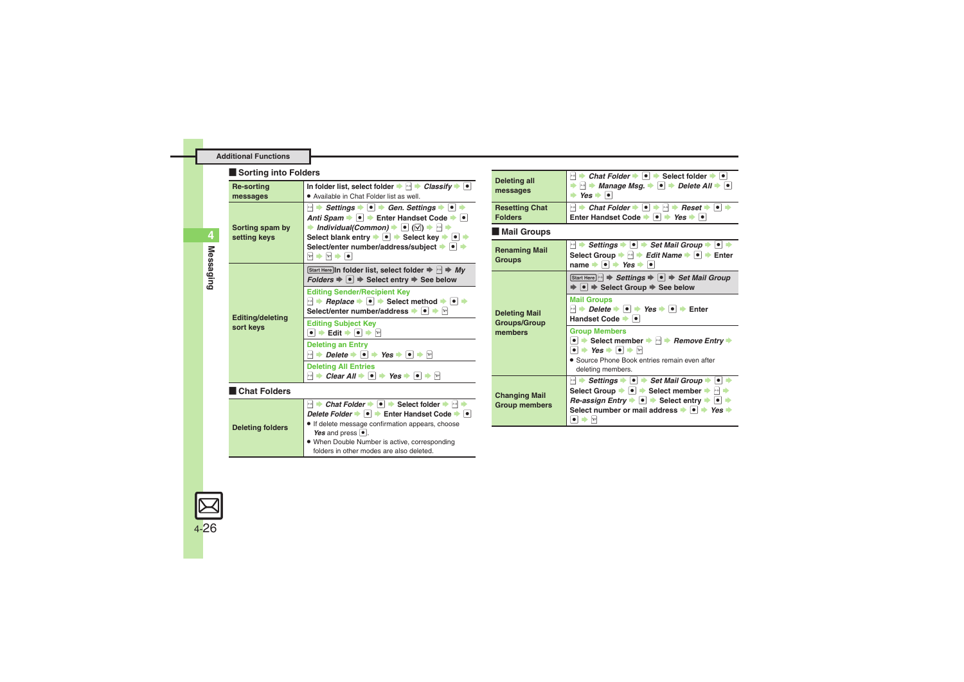#### **Sorting into Folders**

<span id="page-25-0"></span>

| <b>Re-sorting</b>                    | In folder list, select folder $\Rightarrow$ $\Box$ $\Rightarrow$ <i>Classify</i> $\Rightarrow$ $\Box$                                                                                                                                                                                                                                                                                                                                                                 |
|--------------------------------------|-----------------------------------------------------------------------------------------------------------------------------------------------------------------------------------------------------------------------------------------------------------------------------------------------------------------------------------------------------------------------------------------------------------------------------------------------------------------------|
| messages                             | . Available in Chat Folder list as well.                                                                                                                                                                                                                                                                                                                                                                                                                              |
| Sorting spam by<br>setting keys      | A Settings → O → Gen. Settings → O →<br>Anti Spam $\rightarrow \bullet$ $\rightarrow$ Enter Handset Code $\rightarrow \bullet$<br>ightharpoontal (Common) $\Rightarrow$ [o] ( $\boxtimes$ ) $\Rightarrow$ [a] $\Rightarrow$<br>Select blank entry $\Rightarrow$ $\bullet$ $\Rightarrow$ Select key $\Rightarrow$ $\bullet$ $\Rightarrow$<br>Select/enter number/address/subject $\rightarrow$ •<br>$\mathbf{r}$ $\rightarrow$ $\mathbf{r}$ $\rightarrow$ $\mathbf{r}$ |
| <b>Editing/deleting</b><br>sort keys | Start Here In folder list, select folder $\Rightarrow$ $\Rightarrow$ Mv<br>$Folds \Rightarrow \bullet \Rightarrow \bullet$ Select entry $\Rightarrow$ See below                                                                                                                                                                                                                                                                                                       |
|                                      | <b>Editing Sender/Recipient Key</b><br>$\blacksquare$ $\blacktriangleright$ <i>Replace</i> $\blacktriangleright$ $\blacksquare$ $\blacktriangleright$ Select method $\blacktriangleright$ $\blacksquare$<br>Select/enter number/address → ● → ☆                                                                                                                                                                                                                       |
|                                      | <b>Editing Subject Key</b><br>$\bullet$ $\bullet$ Edit $\bullet$ $\bullet$ $\bullet$ $\bullet$                                                                                                                                                                                                                                                                                                                                                                        |
|                                      | <b>Deleting an Entry</b><br>$\blacksquare$ $\blacktriangleright$ Delete $\blacktriangleright$ $\blacksquare$ $\blacktriangleright$ Yes $\blacktriangleright$ $\blacksquare$                                                                                                                                                                                                                                                                                           |
|                                      | <b>Deleting All Entries</b>                                                                                                                                                                                                                                                                                                                                                                                                                                           |
|                                      | $\blacksquare$ $\blacktriangleright$ Clear All $\blacktriangleright$ $\blacksquare$ Yes $\blacktriangleright$ $\blacksquare$                                                                                                                                                                                                                                                                                                                                          |
| <b>Chat Folders</b>                  |                                                                                                                                                                                                                                                                                                                                                                                                                                                                       |
| <b>Deleting folders</b>              | <b>A</b> Chat Folder $\rightarrow \bullet$ <b>•</b> Select folder $\rightarrow \rightarrow \bullet$                                                                                                                                                                                                                                                                                                                                                                   |
|                                      | Delete Folder → O → Enter Handset Code → O<br>· If delete message confirmation appears, choose<br>Yes and press $\boxed{\bullet}$ .<br>. When Double Number is active, corresponding                                                                                                                                                                                                                                                                                  |
|                                      | folders in other modes are also deleted.                                                                                                                                                                                                                                                                                                                                                                                                                              |

<span id="page-25-8"></span><span id="page-25-7"></span><span id="page-25-6"></span><span id="page-25-5"></span><span id="page-25-4"></span>

| <b>Deleting all</b><br>messages                        | $\ket{\cdot}$ Chat Folder $\Rightarrow$ $\ket{\bullet}$ Select folder $\Rightarrow$ $\ket{\bullet}$<br>$\Rightarrow$ $\Rightarrow$ Manage Msg. $\Rightarrow$ $\bullet$ $\Rightarrow$ Delete All $\Rightarrow$ $\bullet$<br>$\rightarrow$ Yes $\rightarrow$ $\bullet$                                                                                                                                                                                                                               |  |
|--------------------------------------------------------|----------------------------------------------------------------------------------------------------------------------------------------------------------------------------------------------------------------------------------------------------------------------------------------------------------------------------------------------------------------------------------------------------------------------------------------------------------------------------------------------------|--|
| <b>Resetting Chat</b><br><b>Folders</b>                | → Chat Folder → $\bullet$ + $\bullet$ + Reset + $\bullet$ +<br>$x - x$<br>Enter Handset Code $\rightarrow \bullet$ $\rightarrow$ Yes $\rightarrow \bullet$                                                                                                                                                                                                                                                                                                                                         |  |
| Mail Groups                                            |                                                                                                                                                                                                                                                                                                                                                                                                                                                                                                    |  |
| <b>Renaming Mail</b><br><b>Groups</b>                  | A → Settings → $\bullet \rightarrow$ Set Mail Group → $\bullet$ $\rightarrow$<br>Select Group $\Rightarrow$ $\Box \Rightarrow$ Edit Name $\Rightarrow$ $\Box \Rightarrow$ Enter<br>name $\bullet \bullet \bullet$ Yes $\bullet \bullet$                                                                                                                                                                                                                                                            |  |
| <b>Deleting Mail</b><br><b>Groups/Group</b><br>members | Start Here $\ket{\cdot}$ $\Rightarrow$ Settings $\Rightarrow$ $\ket{\bullet}$ $\Rightarrow$ Set Mail Group<br>$\bullet$ $\Rightarrow$ Select Group $\Rightarrow$ See below                                                                                                                                                                                                                                                                                                                         |  |
|                                                        | <b>Mail Groups</b><br>$\blacksquare$ $\blacktriangleright$ Delete $\blacktriangleright$ $\blacksquare$ $\blacktriangleright$ Yes $\blacktriangleright$ $\blacksquare$ $\blacktriangleright$ Enter<br>Handset Code                                                                                                                                                                                                                                                                                  |  |
|                                                        | <b>Group Members</b><br>• Select member $\rightarrow \rightarrow$ Remove Entry<br>$\bullet$ $\bullet$ Yes $\bullet$ $\bullet$ $\bullet$ $\bullet$<br>• Source Phone Book entries remain even after<br>deleting members.                                                                                                                                                                                                                                                                            |  |
| <b>Changing Mail</b><br><b>Group members</b>           | $\ket{\cdot}$ Settings $\blacktriangleright$ $\ket{\bullet}$ Set Mail Group $\blacktriangleright$ $\ket{\bullet}$<br>Select Group $\blacktriangleright \lceil \bullet \rceil$ $\blacktriangleright$ Select member $\blacktriangleright$ $\lnot \rightharpoonup$<br>Re-assign Entry $\blacktriangleright$ $\blacktriangleright$ $\blacktriangleright$ Select entry $\blacktriangleright$ $\blacktriangleright$<br>Select number or mail address $\rightarrow \rightarrow$ Yes $\rightarrow$<br>[xz] |  |

<span id="page-25-2"></span><span id="page-25-1"></span>**4**Messaging **Messaging**

<span id="page-25-3"></span>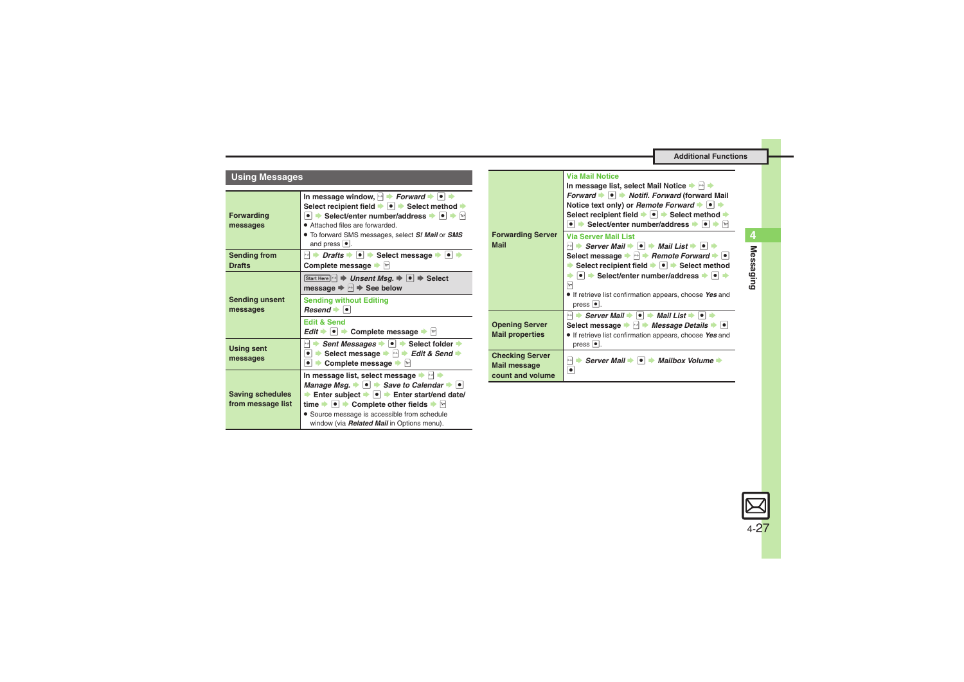<span id="page-26-1"></span><span id="page-26-0"></span>

| <b>Using Messages</b>                        |                                                                                                                                                                                                                                                                                                                                                                                                               |                                                  | <b>Via Mail Notice</b><br>In message list, select Mail Notice $\blacktriangleright$ $\blacktriangleright$                                                                                                                                                                                                                                                                                                                                                                                                                    |
|----------------------------------------------|---------------------------------------------------------------------------------------------------------------------------------------------------------------------------------------------------------------------------------------------------------------------------------------------------------------------------------------------------------------------------------------------------------------|--------------------------------------------------|------------------------------------------------------------------------------------------------------------------------------------------------------------------------------------------------------------------------------------------------------------------------------------------------------------------------------------------------------------------------------------------------------------------------------------------------------------------------------------------------------------------------------|
| <b>Forwarding</b><br>messages                | In message window, $\rightarrow$ Forward $\rightarrow$ $\rightarrow$<br>Select recipient field → ● → Select method →<br>• Select/enter number/address → • •<br>• Attached files are forwarded.<br>. To forward SMS messages, select S! Mail or SMS<br>and press $\bullet$ .                                                                                                                                   | <b>Forwarding Server</b><br><b>Mail</b>          | Forward $\blacktriangleright$ $\blacktriangleright$ $\blacktriangleright$ Notifi. Forward (forward Mail<br>Notice text only) or Remote Forward $\rightarrow$ $\bullet$<br>Select recipient field $\blacktriangleright$ $\lceil \bullet \rceil$ $\blacktriangleright$ Select method $\blacktriangleright$<br>• Select/enter number/address • • • $\rightarrow$ $\boxed{\bullet}$<br><b>Via Server Mail List</b><br>$\Box \Rightarrow$ Server Mail $\Rightarrow$ $\Box \Rightarrow$ Mail List $\Rightarrow$ $\Box \Rightarrow$ |
| <b>Sending from</b><br><b>Drafts</b>         | $\blacksquare$ $\blacktriangleright$ Drafts $\blacktriangleright$ $\blacksquare$ $\blacktriangleright$ Select message $\blacktriangleright$ $\blacksquare$ $\blacktriangleright$<br>Complete message $\blacktriangleright$ $\triangleright$                                                                                                                                                                   |                                                  | Select message $\blacktriangleright$ $\blacktriangleright$ Remote Forward $\blacktriangleright$ $\blacktriangleright$<br>Select recipient field $\bullet$ $\bullet$ $\bullet$ Select method                                                                                                                                                                                                                                                                                                                                  |
| <b>Sending unsent</b><br>messages            | Start Here $\mathbb{R}$ $\Rightarrow$ Unsent Msq. $\Rightarrow$ $\mathbf{0}$ $\Rightarrow$ Select<br>message $\Rightarrow$ $\Box \Rightarrow$ See below<br><b>Sending without Editing</b><br>$Resend$ $\bullet$ $\bullet$<br><b>Edit &amp; Send</b>                                                                                                                                                           | <b>Opening Server</b>                            | $\bullet$ $\bullet$ Select/enter number/address $\bullet$ $\bullet$<br>$\sqrt{2}$<br>• If retrieve list confirmation appears, choose Yes and<br>$pres \, \overline{\bullet}$ .<br>$\Box$ $\Rightarrow$ Server Mail $\Rightarrow$ $\Box$ $\Rightarrow$ Mail List $\Rightarrow$ $\Box$ $\Rightarrow$<br>Select message $\blacktriangleright$ $\blacktriangleright$ Message Details $\blacktriangleright$ $\blacktriangleright$                                                                                                 |
| <b>Using sent</b><br>messages                | Edit $\rightarrow \bullet$ $\rightarrow$ Complete message $\rightarrow \Box$<br>Sent Messages $\bullet$ $\bullet$ Select folder $\bullet$<br>图●<br>Select message $\Rightarrow$ $\Rightarrow$ Edit & Send $\Rightarrow$<br>$\bullet$<br>$\Rightarrow$                                                                                                                                                         | <b>Mail properties</b><br><b>Checking Server</b> | • If retrieve list confirmation appears, choose Yes and<br>press $\bullet$ .<br>$\mathbb{R}^{n}$<br>Server Mail $\rightarrow \bullet$ $\rightarrow$ Mailbox Volume $\rightarrow$                                                                                                                                                                                                                                                                                                                                             |
|                                              | Complete message $\blacktriangleright$ $\triangleright$<br>$\bullet$ $\bullet$<br>In message list, select message $\blacktriangleright$                                                                                                                                                                                                                                                                       | <b>Mail message</b><br>count and volume          | $\bullet$                                                                                                                                                                                                                                                                                                                                                                                                                                                                                                                    |
| <b>Saving schedules</b><br>from message list | Manage Msg. $\rightarrow \bullet$ $\rightarrow$ Save to Calendar $\rightarrow \bullet$<br>Enter subject $\bullet$ $\bullet$ Enter start/end date/<br>time $\blacktriangleright \lceil \bullet \rceil$ $\blacktriangleright$ Complete other fields $\blacktriangleright$ $\lbrack \triangleright \rbrack$<br>• Source message is accessible from schedule<br>window (via <b>Related Mail</b> in Options menu). |                                                  |                                                                                                                                                                                                                                                                                                                                                                                                                                                                                                                              |

<span id="page-26-2"></span>

**Messaging**

Messaging

**4**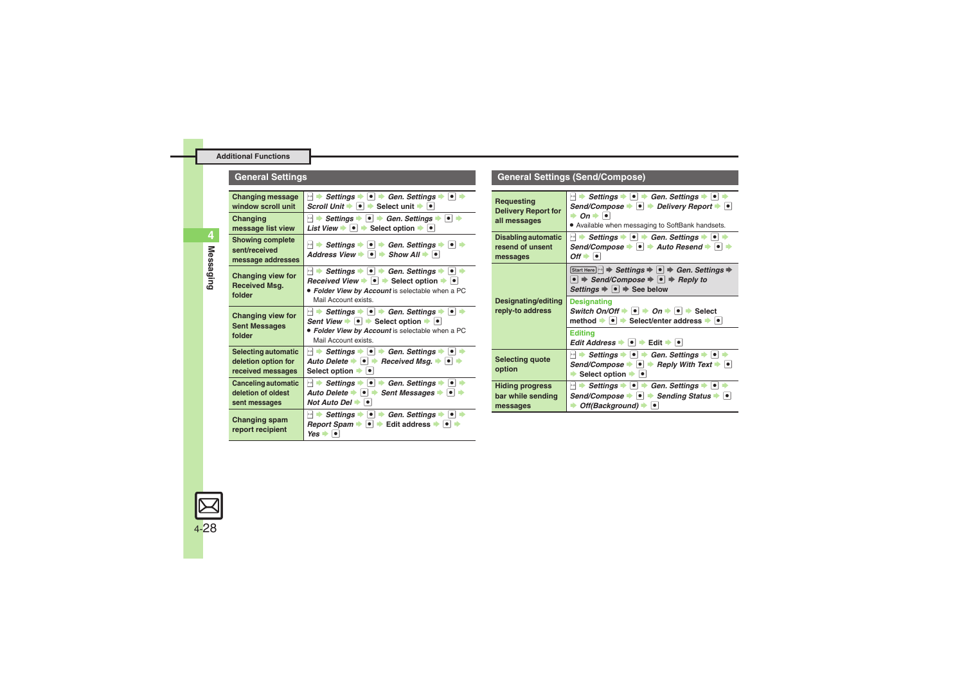### **General Settings**

<span id="page-27-4"></span>

| <b>Changing message</b><br>window scroll unit                   | $ \cdot $ $\rightarrow$ Settings $\rightarrow$ $ \cdot $ $\rightarrow$ Gen. Settings $\rightarrow$ $ \cdot $ $\rightarrow$<br>Scroll Unit $\blacktriangleright$ $\lvert \bullet \rvert$ $\blacktriangleright$ Select unit $\blacktriangleright$ $\lvert \bullet \rvert$                                                                         |  |
|-----------------------------------------------------------------|-------------------------------------------------------------------------------------------------------------------------------------------------------------------------------------------------------------------------------------------------------------------------------------------------------------------------------------------------|--|
| Changing<br>message list view                                   | <b>Settings →  •  + Gen. Settings →  •  +</b><br>$x - x$<br>List View $\bullet$ $\bullet$ $\bullet$ Select option $\bullet$ $\bullet$                                                                                                                                                                                                           |  |
| <b>Showing complete</b><br>sent/received<br>message addresses   | $\ket{\cdot}$ Settings $\blacktriangleright$ $\ket{\bullet}$ $\Rightarrow$ Gen. Settings $\Rightarrow$ $\ket{\bullet}$ $\Rightarrow$<br>Address View $\rightarrow$ $\rightarrow$ Show All $\rightarrow$ $\rightarrow$                                                                                                                           |  |
| Changing view for<br><b>Received Msg.</b><br>folder             | $\lvert \cdot \rvert$ $\Rightarrow$ Settings $\Rightarrow$ $\lvert \bullet \rvert$ $\Rightarrow$ Gen. Settings $\Rightarrow$ $\lvert \bullet \rvert$ $\Rightarrow$<br>Received View $\rightarrow$ $\bullet$ $\rightarrow$ Select option $\rightarrow$ $\rightarrow$<br>• Folder View by Account is selectable when a PC<br>Mail Account exists. |  |
| Changing view for<br><b>Sent Messages</b><br>folder             | $\ket{\cdot}$ Settings $\blacktriangleright$ $\ket{\bullet}$ $\blacktriangleright$ Gen. Settings $\blacktriangleright$ $\ket{\bullet}$ $\blacktriangleright$<br>Sent View $\rightarrow$ $\bullet$ $\rightarrow$ Select option $\rightarrow$ $\rightarrow$<br>• Folder View by Account is selectable when a PC<br>Mail Account exists.           |  |
| Selecting automatic<br>deletion option for<br>received messages | $\ket{\cdot}$ Settings $\blacktriangleright$ $\ket{\bullet}$ $\blacktriangleright$ Gen. Settings $\blacktriangleright$ $\ket{\bullet}$ $\blacktriangleright$<br>Auto Delete $\rightarrow \bullet$ Received Msq. $\rightarrow \bullet$ $\rightarrow$<br>Select option <b>b e</b>                                                                 |  |
| Canceling automatic<br>deletion of oldest<br>sent messages      | $\ket{\cdot}$ Settings $\blacktriangleright$ $\ket{\bullet}$ $\Rightarrow$ Gen. Settings $\blacktriangleright$ $\ket{\bullet}$<br>Auto Delete → ● → Sent Messages → ●<br>Not Auto Del $\rightarrow$ $\mid \bullet \mid$                                                                                                                         |  |
| <b>Changing spam</b><br>report recipient                        | $\ket{\cdot}$ Settings $\blacktriangleright$ $\ket{\bullet}$ Gen. Settings $\blacktriangleright$ $\ket{\bullet}$<br>Report Spam →<br>Edit address $\bullet$ $\bullet$<br>$\bullet$ $\bullet$<br>$Yes \rightarrow \bullet$                                                                                                                       |  |

#### <span id="page-27-3"></span><span id="page-27-2"></span><span id="page-27-1"></span><span id="page-27-0"></span>**Requesting Delivery Report for all messages**  $\blacksquare$   $\blacktriangleright$  *Settings*  $\blacktriangleright$   $\blacksquare$   $\blacktriangleright$   $\blacksquare$   $\blacktriangleright$   $\blacksquare$   $\blacktriangleright$   $\blacksquare$   $\blacktriangleright$   $\blacksquare$   $\blacktriangleright$   $\blacksquare$   $\blacktriangleright$   $\blacksquare$   $\blacktriangleright$   $\blacksquare$   $\blacktriangleright$   $\blacksquare$   $\blacktriangleright$   $\blacksquare$   $\blacktriangleright$   $\blacksquare$   $\blacktriangleright$   $\blacksquare$   $\blacktriangleright$   $\blacksquare$   $Send/Compose \rightarrow \text{ } \bullet \rightarrow$  *Delivery Report*  $\rightarrow \text{ } \bullet$  $\rightarrow$  On  $\rightarrow$   $\blacksquare$  . Available when messaging to SoftBank handsets. **Disabling automatic resend of unsent messages**  $\blacksquare$   $\blacktriangleright$  *Settings*  $\blacktriangleright$   $\blacksquare$   $\blacktriangleright$  *Gen. Settings*  $\blacktriangleright$   $\blacksquare$   $\blacktriangleright$  $Send/Compose \rightarrow \lceil \bullet \rceil$  *Auto Resend*  $\rightarrow \lceil \bullet \rceil$   $\rightarrow$  $Off \rightarrow \lceil \bullet \rceil$ **Designating/editing reply-to address Start Here R**  $\bullet$  **Settings**  $\bullet$  **e**  $\bullet$  **Gen. Settings**  $\bullet$  $\bullet$   $\Rightarrow$  *Send/Compose*  $\Rightarrow$   $\bullet$   $\Rightarrow$  *Reply to*  $Setting \Rightarrow \; \bullet \Rightarrow$  See below **Designating**  $Switch On/Off \rightarrow \odot \rightarrow On \rightarrow \odot \rightarrow Select$ **nethod**  $\rightarrow$  **• Select/enter address**  $\rightarrow$  **• Editing**  $Edit$  *Address*  $\rightarrow$  **O**  $\rightarrow$  Edit  $\rightarrow$  **O Selecting quote option**  $\boxed{\odot}$   $\rightarrow$  *Settings*  $\rightarrow$   $\boxed{\bullet}$   $\rightarrow$  *Gen. Settings*  $\rightarrow$   $\boxed{\bullet}$  $Send/Compose \rightarrow \bullet \rightarrow$  *Reply With Text*  $\rightarrow \bullet$ Select option  $\rightarrow$  **O Hiding progress bar while sending messages B**  $\rightarrow$  Settings  $\rightarrow$  **e**  $\rightarrow$  Gen. Settings  $\rightarrow$  **e** *Send/Compose*  $\bullet$   $\bullet$   $\bullet$  *Sending Status*  $\bullet$   $\bullet$ **Off(Background)**  $\rightarrow$  <sup>o</sup>

**General Settings (Send/Compose)**

<span id="page-27-6"></span><span id="page-27-5"></span>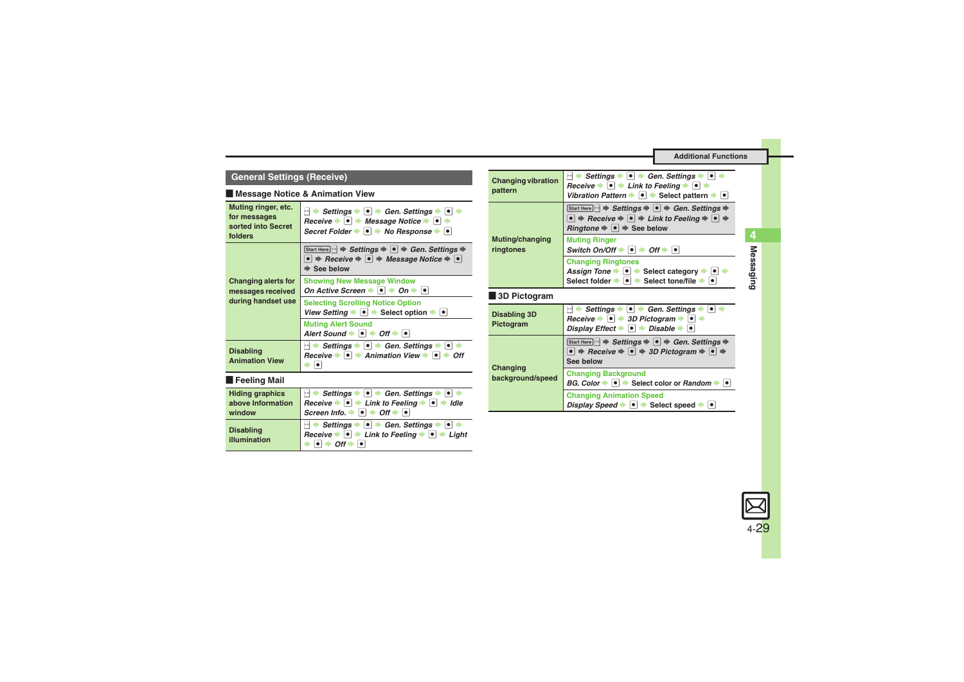### **General Settings (Receive)**

#### [ **Message Notice & Animation View**

<span id="page-28-0"></span>

| Muting ringer, etc.<br>for messages<br>sorted into Secret<br>folders | $\ket{\cdot}$ Settings $\blacktriangleright$ $\ket{\bullet}$ $\blacktriangleright$ Gen. Settings $\blacktriangleright$ $\ket{\bullet}$ $\blacktriangleright$<br>$h$ Receive $\blacktriangleright$ $\lceil \bullet \rceil$ $\blacktriangleright$ Message Notice $\blacktriangleright$ $\lceil \bullet \rceil$ $\blacktriangleright$<br>Secret Folder $\bullet \bullet \bullet \bullet$ No Response $\bullet \bullet$ |
|----------------------------------------------------------------------|---------------------------------------------------------------------------------------------------------------------------------------------------------------------------------------------------------------------------------------------------------------------------------------------------------------------------------------------------------------------------------------------------------------------|
|                                                                      | Start Here $\ket{\cdot}$ $\Rightarrow$ Settings $\Rightarrow$ $\ket{\bullet}$ $\Rightarrow$ Gen. Settings $\Rightarrow$<br>$\bullet$ $\Rightarrow$ Receive $\Rightarrow$ $\bullet$ $\Rightarrow$ Message Notice $\Rightarrow$ $\bullet$<br>$\Rightarrow$ See below                                                                                                                                                  |
| <b>Changing alerts for</b><br>messages received                      | <b>Showing New Message Window</b><br>On Active Screen $\rightarrow \bullet \rightarrow$ On $\rightarrow \bullet$                                                                                                                                                                                                                                                                                                    |
| during handset use                                                   | <b>Selecting Scrolling Notice Option</b><br>View Setting $\rightarrow \bullet$ Select option $\rightarrow \bullet$                                                                                                                                                                                                                                                                                                  |
|                                                                      | <b>Muting Alert Sound</b><br>Alert Sound $\bullet$ $\bullet$ $\bullet$ Off $\bullet$ $\bullet$                                                                                                                                                                                                                                                                                                                      |
| <b>Disabling</b><br><b>Animation View</b>                            | $\ket{\cdot}$ Settings $\blacktriangleright$ $\ket{\bullet}$ $\blacktriangleright$ Gen. Settings $\blacktriangleright$ $\ket{\bullet}$ $\blacktriangleright$<br>Receive $\rightarrow \bullet$ $\rightarrow$ Animation View $\rightarrow \bullet$ $\rightarrow$ Off<br>▶ │●│                                                                                                                                         |
| <b>Feeling Mail</b>                                                  |                                                                                                                                                                                                                                                                                                                                                                                                                     |
| <b>Hiding graphics</b><br>above Information                          | Settings $\bullet$ $\bullet$ $\bullet$ Gen. Settings $\bullet$ $\bullet$<br>$\left  \mathbf{x} \right $<br>Receive $\blacktriangleright$ $\blacktriangleright$ $\blacktriangleright$ Link to Feeling $\blacktriangleright$ $\blacktriangleright$ $\blacktriangleright$ Idle                                                                                                                                         |

| window           | Screen Info. $\rightarrow \boxed{\bullet}$ $\rightarrow$ Off $\rightarrow \boxed{\bullet}$ |
|------------------|--------------------------------------------------------------------------------------------|
| <b>Disabling</b> | B → Settings → O → Gen. Settings → O →                                                     |
| illumination     | Receive $\Rightarrow$ 0 $\rightarrow$ Link to Feeling $\rightarrow$ 0 $\rightarrow$ Light  |

<span id="page-28-1"></span>

| <b>Changing vibration</b><br>pattern | $\ket{\cdot}$ Settings $\blacktriangleright$ $\ket{\bullet}$ Gen. Settings $\blacktriangleright$ $\ket{\bullet}$<br>Receive $\blacktriangleright$ $\lceil \bullet \rceil$ $\blacktriangleright$ Link to Feeling $\blacktriangleright$ $\lceil \bullet \rceil$ $\blacktriangleright$<br>Vibration Pattern $\blacktriangleright \lceil \bullet \rceil$ $\blacktriangleright$ Select pattern $\blacktriangleright \lceil \bullet \rceil$ |
|--------------------------------------|---------------------------------------------------------------------------------------------------------------------------------------------------------------------------------------------------------------------------------------------------------------------------------------------------------------------------------------------------------------------------------------------------------------------------------------|
|                                      | Start Here $\ket{\cdot}$ $\Rightarrow$ Settings $\Rightarrow$ $\ket{\bullet}$ $\Rightarrow$ Gen. Settings $\Rightarrow$<br>$\bullet$ $\Rightarrow$ Receive $\Rightarrow$ $\circ$ $\Rightarrow$ Link to Feeling $\Rightarrow$ $\circ$ $\Rightarrow$<br><i>Ringtone</i> $\Rightarrow$ $\bullet$ $\Rightarrow$ See below                                                                                                                 |
| Muting/changing<br>ringtones         | <b>Muting Ringer</b><br>Switch On/Off $\bullet$ $\bullet$ $\bullet$ Off $\bullet$ $\bullet$                                                                                                                                                                                                                                                                                                                                           |
|                                      | <b>Changing Ringtones</b><br>Assign Tone $\rightarrow \bullet$ Select category $\rightarrow \bullet$ $\rightarrow$<br>Select folder $\bullet \; \bullet \; \bullet$ Select tone/file $\bullet \; \bullet$                                                                                                                                                                                                                             |
| 3D Pictogram                         |                                                                                                                                                                                                                                                                                                                                                                                                                                       |
| <b>Disabling 3D</b><br>Pictogram     | $\ket{\cdot}$ Settings $\blacktriangleright$ $\ket{\bullet}$ Gen. Settings $\blacktriangleright$ $\ket{\bullet}$<br>Receive $\bullet \bullet \bullet$ 3D Pictogram $\bullet \bullet \bullet$<br>Display Effect $\bullet$ $\bullet$ $\bullet$ Disable $\bullet$ $\bullet$                                                                                                                                                              |
| Changing<br>background/speed         | Start Here $\ket{\cdot}$ $\Rightarrow$ Settings $\Rightarrow$ $\ket{\bullet}$ $\Rightarrow$ Gen. Settings $\Rightarrow$<br>$\bullet$ $\Rightarrow$ Receive $\Rightarrow$ $\bullet$ $\Rightarrow$ 3D Pictogram $\Rightarrow$ $\bullet$ $\Rightarrow$<br>See below                                                                                                                                                                      |
|                                      | <b>Changing Background</b><br><i>BG. Color</i> $\bullet$ $\bullet$ $\bullet$ Select color or <i>Random</i> $\bullet$ $\bullet$                                                                                                                                                                                                                                                                                                        |
|                                      | <b>Changing Animation Speed</b><br>Display Speed $\bullet$ $\bullet$ $\bullet$ Select speed $\bullet$ $\bullet$                                                                                                                                                                                                                                                                                                                       |

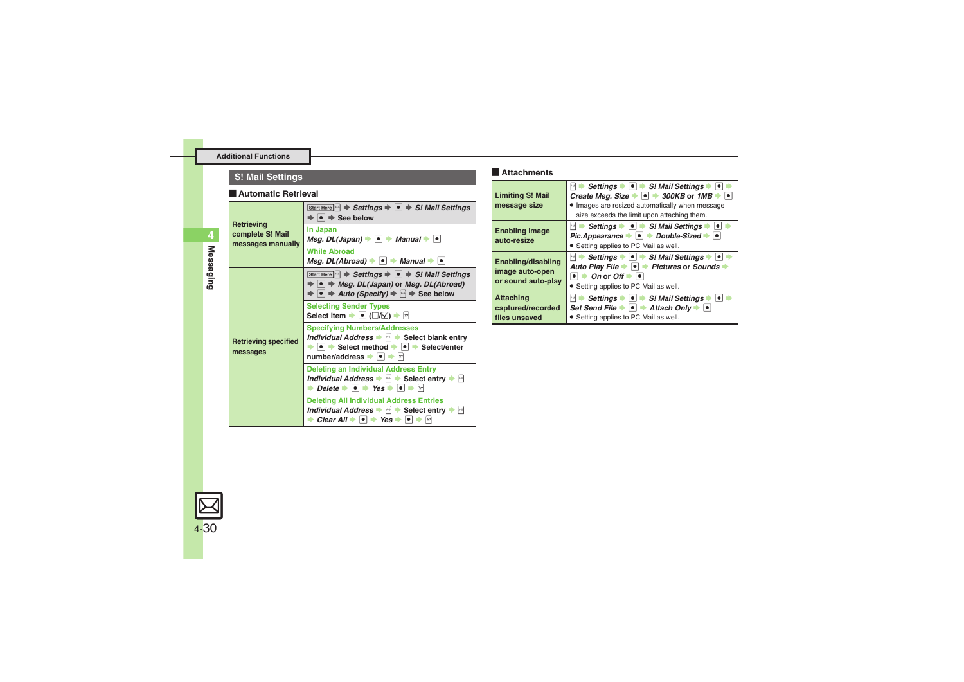### **Attachments S! Mail Settings**

#### **E** Automatic Retrieval

<span id="page-29-4"></span><span id="page-29-3"></span>

| Retrieving<br>complete S! Mail<br>messages manually | Start Here $\ket{\mathbb{M}} \Rightarrow$ Settings $\Rightarrow$ $\ket{\bullet} \Rightarrow$ S! Mail Settings<br>$\Rightarrow$ $\bullet$ $\Rightarrow$ See below                                                                                                                                |
|-----------------------------------------------------|-------------------------------------------------------------------------------------------------------------------------------------------------------------------------------------------------------------------------------------------------------------------------------------------------|
|                                                     | In Japan<br>Msg. DL(Japan) $\rightarrow$ $\bullet$ $\rightarrow$ Manual $\rightarrow$ $\bullet$                                                                                                                                                                                                 |
|                                                     | <b>While Abroad</b><br>Msg. DL(Abroad) $\rightarrow \bullet$ $\rightarrow$ Manual $\rightarrow \bullet$                                                                                                                                                                                         |
| <b>Retrieving specified</b><br>messages             | Start Here $\ket{\cdot}$ $\Rightarrow$ Settings $\Rightarrow$ $\ket{\bullet}$ $\Rightarrow$ S! Mail Settings<br>$\Rightarrow$ $\bullet$ $\Rightarrow$ Msg. DL(Japan) or Msg. DL(Abroad)<br>$\Rightarrow \bullet \Rightarrow$ Auto (Specify) $\Rightarrow \Leftrightarrow \Rightarrow$ See below |
|                                                     | <b>Selecting Sender Types</b><br>Select item $\blacktriangleright$ ( $\Box$ / $\Box$ ) $\blacktriangleright$ [x]                                                                                                                                                                                |
|                                                     | <b>Specifying Numbers/Addresses</b><br>Individual Address $\blacktriangleright$ $\bowtie$ $\blacktriangleright$ Select blank entry<br>$\bullet$ $\bullet$ Select method $\bullet$ $\bullet$ Select/enter<br>number/address → ● → ☆                                                              |
|                                                     | <b>Deleting an Individual Address Entry</b><br>Individual Address → H → Select entry → H<br>$\rightarrow$ Delete $\rightarrow$ $\rightarrow$ Yes $\rightarrow$ $\rightarrow$ $\rightarrow$ $\sim$                                                                                               |
|                                                     | <b>Deleting All Individual Address Entries</b><br>Individual Address $\blacktriangleright$ $\bowtie$ Select entry $\blacktriangleright$ $\bowtie$<br>$\rightarrow$ Clear All $\rightarrow$ $\rightarrow$ Yes $\rightarrow$ $\rightarrow$ $\rightarrow$ $\rightarrow$                            |

### $\blacksquare$  Attachments

<span id="page-29-2"></span><span id="page-29-1"></span><span id="page-29-0"></span>

| <b>Limiting S! Mail</b><br>message size                     | Settings $\bullet \bullet \bullet$ S! Mail Settings $\bullet \bullet$<br>$\mathbf{x} \text{-} \mathbf{a}$<br>Create Msg. Size $\rightarrow$ $\rightarrow$ 300KB or 1MB $\rightarrow$<br>. Images are resized automatically when message<br>size exceeds the limit upon attaching them. |
|-------------------------------------------------------------|----------------------------------------------------------------------------------------------------------------------------------------------------------------------------------------------------------------------------------------------------------------------------------------|
| <b>Enabling image</b><br>auto-resize                        | $\left \cdot\right $ $\rightarrow$ Settings $\rightarrow$ $\left \bullet\right $ $\rightarrow$ S! Mail Settings $\rightarrow$<br>$  \bullet  $<br>Pic.Appearance $\bullet$ $\bullet$ Double-Sized<br>• Setting applies to PC Mail as well.                                             |
| Enabling/disabling<br>image auto-open<br>or sound auto-play | Settings $\rightarrow \bullet$ S! Mail Settings $\rightarrow \bullet$<br><b>x-n</b> 1<br>Auto Play File → $\bullet$ → Pictures or Sounds →<br>$\bullet$ $\bullet$ On or Off $\bullet$ $\bullet$<br>• Setting applies to PC Mail as well.                                               |
| <b>Attaching</b><br>captured/recorded<br>files unsaved      | Settings $\bullet$ $\bullet$ $\bullet$ S! Mail Settings<br><b>84 D</b><br>Set Send File $\rightarrow$ $\mid \bullet \mid$ $\rightarrow$ Attach Only $\rightarrow$ $\mid \bullet \mid$<br>• Setting applies to PC Mail as well.                                                         |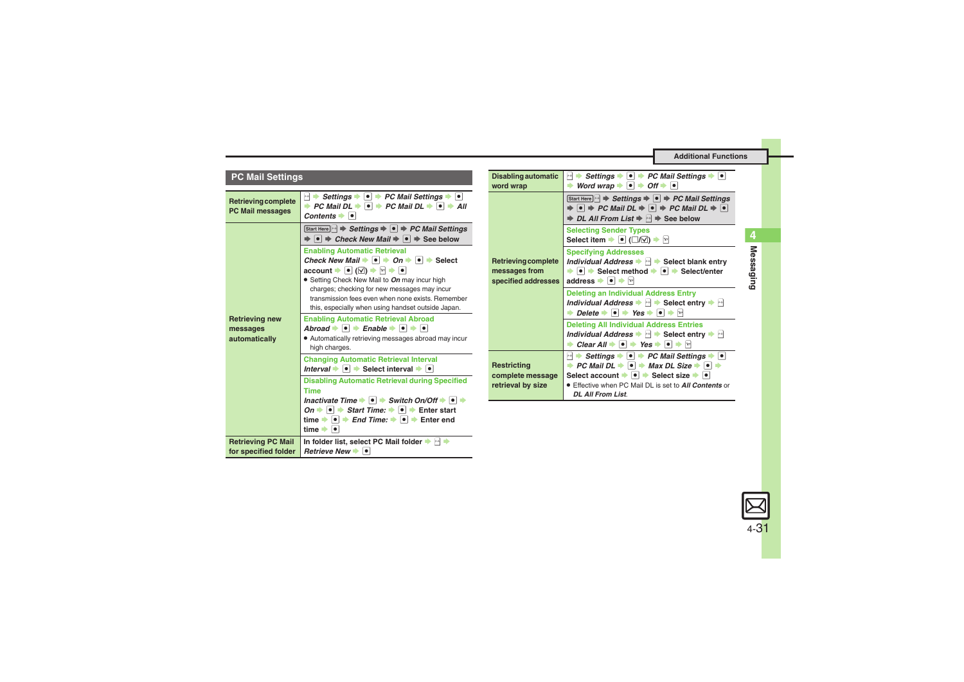<span id="page-30-4"></span><span id="page-30-3"></span><span id="page-30-2"></span><span id="page-30-1"></span><span id="page-30-0"></span>

| <b>PC Mail Settings</b>                            |                                                                                                                                                                                                                                                                                                                                                                                                                                 | <b>Disabling automatic</b><br>word wrap                                                                                           | Settings $\bullet \bullet \bullet \bullet \textsf{PC Mail Settings} \bullet \bullet$<br>$\left\vert \mathbf{v}\right\vert$<br>Word wrap $\rightarrow \bullet$ $\rightarrow$ Off $\rightarrow \bullet$<br>÷                                                                                                                                        |
|----------------------------------------------------|---------------------------------------------------------------------------------------------------------------------------------------------------------------------------------------------------------------------------------------------------------------------------------------------------------------------------------------------------------------------------------------------------------------------------------|-----------------------------------------------------------------------------------------------------------------------------------|---------------------------------------------------------------------------------------------------------------------------------------------------------------------------------------------------------------------------------------------------------------------------------------------------------------------------------------------------|
| Retrieving complete<br><b>PC Mail messages</b>     | $\ket{\cdot}$ Settings $\blacktriangleright$ $\ket{\bullet}$ PC Mail Settings $\blacktriangleright$ $\ket{\bullet}$<br>→ PC Mail DL $\rightarrow \Box$ PC Mail DL $\rightarrow \Box$ All<br>Contents $\bullet$ $\bullet$                                                                                                                                                                                                        | <b>Retrieving complete</b><br>messages from<br>specified addresses<br><b>Restricting</b><br>complete message<br>retrieval by size | Start Here $\mathbb{R}$ $\Rightarrow$ Settings $\Rightarrow$ $\bullet$ $\Rightarrow$ PC Mail Settings<br>$\Rightarrow$ $\bullet$ $\Rightarrow$ PC Mail DL $\Rightarrow$ $\circ$ $\Rightarrow$ PC Mail DL $\Rightarrow$ $\circ$<br><b><math>\Rightarrow</math> DL All From List <math>\Rightarrow</math> Me <math>\Rightarrow</math> See below</b> |
| <b>Retrieving new</b><br>messages<br>automatically | Start Here $\bigcap$ $\Rightarrow$ Settings $\Rightarrow$ $\bigcirc$ $\Rightarrow$ PC Mail Settings<br>$\Rightarrow$ $\bullet$ $\Rightarrow$ Check New Mail $\Rightarrow$ $\bullet$ $\Rightarrow$ See below                                                                                                                                                                                                                     |                                                                                                                                   | <b>Selecting Sender Types</b><br>Select item $\bullet$ ( $\Box/\Box$ ) $\bullet$ $\Box$                                                                                                                                                                                                                                                           |
|                                                    | <b>Enabling Automatic Retrieval</b><br>Check New Mail $\rightarrow \infty$ $\rightarrow$ On $\rightarrow \infty$ Select<br>$\mathsf{account} \rightarrow \bullet (\boxtimes) \rightarrow \boxtimes \bullet \bullet$<br>• Setting Check New Mail to On may incur high<br>charges; checking for new messages may incur<br>transmission fees even when none exists. Remember<br>this, especially when using handset outside Japan. |                                                                                                                                   | <b>Specifying Addresses</b><br>Individual Address $\blacktriangleright$ $\blacktriangleright$ Select blank entry<br>$\rightarrow$ $\bullet$ $\rightarrow$ Select method $\rightarrow$ $\bullet$ $\rightarrow$ Select/enter<br>address $\bullet \bullet$                                                                                           |
|                                                    |                                                                                                                                                                                                                                                                                                                                                                                                                                 |                                                                                                                                   | <b>Deleting an Individual Address Entry</b><br>Individual Address $\blacktriangleright \blacksquare$ Select entry $\blacktriangleright \blacksquare$<br>$\rightarrow$ Delete $\rightarrow$ 0 $\rightarrow$ Yes $\rightarrow$ 0 $\rightarrow$ 2                                                                                                    |
|                                                    | <b>Enabling Automatic Retrieval Abroad</b><br>Abroad $\bullet \bullet \bullet$ Enable $\bullet \bullet \bullet$<br>• Automatically retrieving messages abroad may incur<br>high charges.                                                                                                                                                                                                                                        |                                                                                                                                   | <b>Deleting All Individual Address Entries</b><br>Individual Address $\blacktriangleright$ $\blacksquare$ Select entry $\blacktriangleright$ $\blacksquare$<br>$\rightarrow$ Clear All $\rightarrow$  ●  $\rightarrow$ Yes $\rightarrow$  ●  $\rightarrow$ $\boxed{9}$                                                                            |
|                                                    | <b>Changing Automatic Retrieval Interval</b><br>Interval $\rightarrow \bullet$ $\rightarrow$ Select interval $\rightarrow \bullet$                                                                                                                                                                                                                                                                                              |                                                                                                                                   | $\left  \mathbf{x} \cdot \mathbf{h} \right $<br>Settings $\bullet \bullet \bullet \bullet \bullet$ PC Mail Settings $\bullet \bullet$<br>→ PC Mail DL $\rightarrow \Box$ Max DL Size $\rightarrow \Box$<br>Select account $\bullet \; \bullet \; \bullet$ Select size $\bullet \; \bullet$                                                        |
|                                                    | <b>Disabling Automatic Retrieval during Specified</b><br><b>Time</b>                                                                                                                                                                                                                                                                                                                                                            |                                                                                                                                   | <b>Effective when PC Mail DL is set to All Contents or</b><br><b>DL All From List.</b>                                                                                                                                                                                                                                                            |
|                                                    | Inactivate Time $\blacktriangleright \lceil \bullet \rceil$ $\blacktriangleright$ Switch On/Off $\blacktriangleright \lceil \bullet \rceil$ $\blacktriangleright$<br><i>On</i> $\rightarrow$ $\rightarrow$ <i>Start Time:</i> $\rightarrow$ $\rightarrow$ Finter start<br>time $\rightarrow \rightarrow$ Find Time: $\rightarrow \rightarrow$ Finter end<br>time $\rightarrow$ $\bullet$                                        |                                                                                                                                   |                                                                                                                                                                                                                                                                                                                                                   |
| <b>Retrieving PC Mail</b><br>for specified folder  | In folder list, select PC Mail folder $\blacktriangleright \lvert \cdot \rvert$<br>Retrieve New $\rightarrow$ $\bullet$                                                                                                                                                                                                                                                                                                         |                                                                                                                                   |                                                                                                                                                                                                                                                                                                                                                   |

<span id="page-30-5"></span>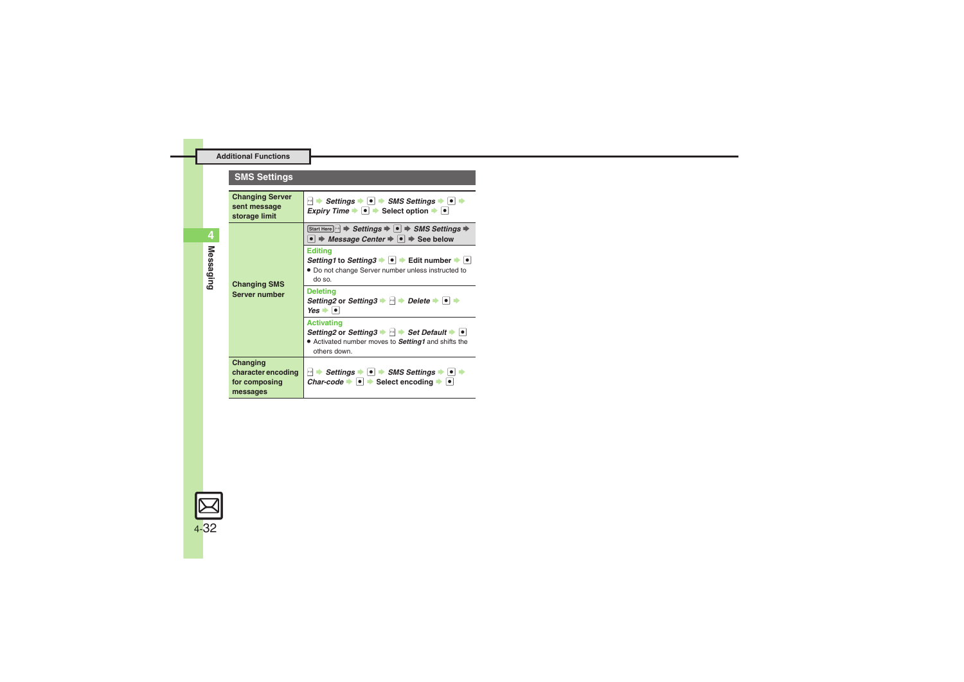### **SMS Settings**

<span id="page-31-2"></span><span id="page-31-1"></span><span id="page-31-0"></span>

| <b>Changing Server</b><br>sent message<br>storage limit     | $\ket{\cdot}$ Settings $\blacktriangleright$ $\ket{\bullet}$ SMS Settings $\blacktriangleright$ $\ket{\bullet}$<br><i>Expiry Time</i> $\rightarrow \bullet$ $\rightarrow$ Select option $\rightarrow \bullet$                |  |  |
|-------------------------------------------------------------|------------------------------------------------------------------------------------------------------------------------------------------------------------------------------------------------------------------------------|--|--|
|                                                             | Start Here $\ket{\cdot}$ $\Rightarrow$ Settings $\Rightarrow$ $\ket{\bullet}$ $\Rightarrow$ SMS Settings $\Rightarrow$<br>$\bullet$ $\Rightarrow$ <i>Message Center</i> $\Rightarrow$ $\bullet$ $\Rightarrow$ See below      |  |  |
| <b>Changing SMS</b>                                         | <b>Editing</b><br>Setting1 to Setting3 $\rightarrow$ $\bullet$ $\rightarrow$ Edit number $\rightarrow$ $\bullet$<br>• Do not change Server number unless instructed to<br>ne oh                                              |  |  |
| <b>Server number</b>                                        | <b>Deleting</b><br>Setting2 or Setting3 $\rightarrow \rightarrow$ Delete $\rightarrow \rightarrow \rightarrow$<br>$Yes \rightarrow \Box$                                                                                     |  |  |
|                                                             | <b>Activating</b><br>Setting2 or Setting3 $\blacktriangleright$ $\blacktriangleright$ Set Default $\blacktriangleright$ $\blacktriangleright$<br>• Activated number moves to <b>Setting1</b> and shifts the<br>others down.  |  |  |
| Changing<br>character encoding<br>for composing<br>messages | $\ket{\cdot}$ Settings $\blacktriangleright$ $\ket{\bullet}$ $\Rightarrow$ SMS Settings $\blacktriangleright$ $\ket{\bullet}$<br>Char-code $\blacktriangleright$ $\blacktriangleright$ Select encoding $\blacktriangleright$ |  |  |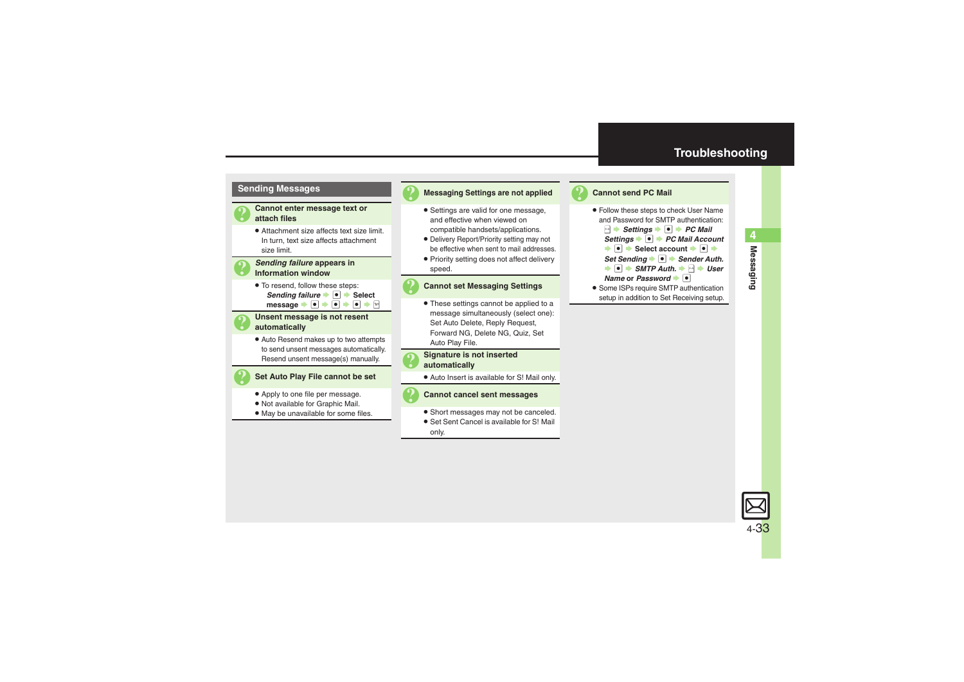### **Troubleshooting**



#### 3 **Messaging Settings are not applied**

- . Settings are valid for one message, and effective when viewed on compatible handsets/applications.
- . Delivery Report/Priority setting may not be effective when sent to mail addresses.
- . Priority setting does not affect delivery speed.

#### 3 **Cannot set Messaging Settings**

. These settings cannot be applied to a message simultaneously (select one): Set Auto Delete, Reply Request, Forward NG, Delete NG, Quiz, Set Auto Play File.

# 3 **Signature is not inserted automatically**

. Auto Insert is available for S! Mail only.



- . Short messages may not be canceled.
- . Set Sent Cancel is available for S! Mail only.



#### <span id="page-32-0"></span>**Cannot send PC Mail**

. Follow these steps to check User Name and Password for SMTP authentication:**B**  $\rightarrow$  *Settings*  $\rightarrow$  **PC** Mail **Settings → ●** *PC Mail Account*  $\bullet$  Select account  $\bullet$  **O**  $\bullet$ **Set Sending**  $\bullet$  **<b>Sender Auth.**  $\rightarrow$  **o**  $\rightarrow$  SMTP Auth.  $\rightarrow$  **P**  $\rightarrow$  User **Name** or *Password*  $\bullet$ . Some ISPs require SMTP authentication

setup in addition to Set Receiving setup.